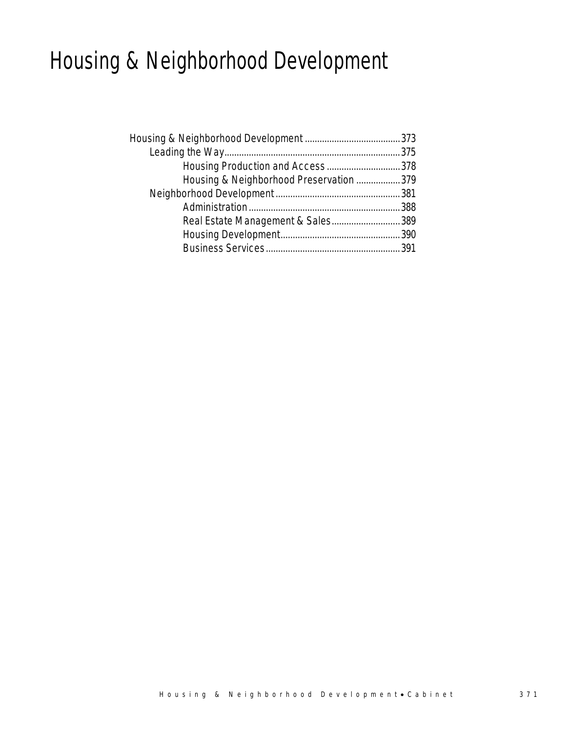# Housing & Neighborhood Development

| Housing Production and Access378        |  |
|-----------------------------------------|--|
| Housing & Neighborhood Preservation 379 |  |
|                                         |  |
|                                         |  |
| Real Estate Management & Sales389       |  |
|                                         |  |
|                                         |  |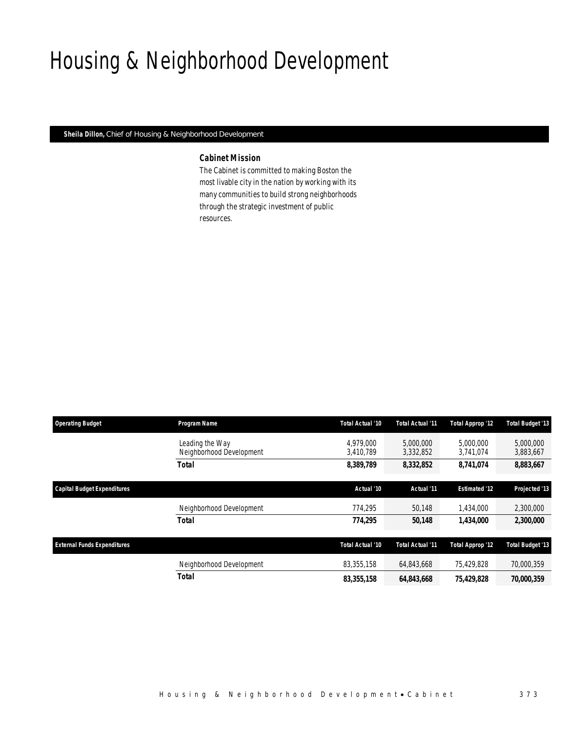# Housing & Neighborhood Development

*Sheila Dillon, Chief of Housing & Neighborhood Development* 

## *Cabinet Mission*

The Cabinet is committed to making Boston the most livable city in the nation by working with its many communities to build strong neighborhoods through the strategic investment of public resources.

| <b>Operating Budget</b>            | Program Name                                | Total Actual '10       | Total Actual '11       | <b>Total Approp '12</b> | Total Budget '13        |
|------------------------------------|---------------------------------------------|------------------------|------------------------|-------------------------|-------------------------|
|                                    | Leading the Way<br>Neighborhood Development | 4.979.000<br>3,410,789 | 5,000,000<br>3,332,852 | 5.000.000<br>3,741,074  | 5,000,000<br>3,883,667  |
|                                    | <b>Total</b>                                | 8,389,789              | 8,332,852              | 8,741,074               | 8,883,667               |
| Capital Budget Expenditures        |                                             | Actual '10             | Actual '11             | <b>Estimated '12</b>    | Projected '13           |
|                                    | Neighborhood Development                    | 774,295                | 50.148                 | 1,434,000               | 2,300,000               |
|                                    | <b>Total</b>                                | 774,295                | 50,148                 | 1.434.000               | 2,300,000               |
| <b>External Funds Expenditures</b> |                                             | Total Actual '10       | Total Actual '11       | <b>Total Approp '12</b> | <b>Total Budget '13</b> |
|                                    | Neighborhood Development                    | 83,355,158             | 64,843,668             | 75.429.828              | 70,000,359              |
|                                    | <b>Total</b>                                | 83,355,158             | 64,843,668             | 75,429,828              | 70,000,359              |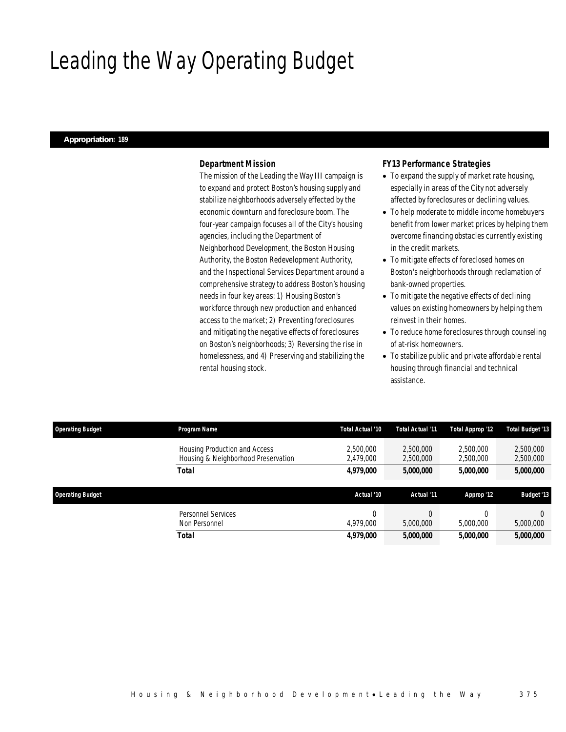# Leading the Way Operating Budget

### *Appropriation: 189*

## *Department Mission*

The mission of the Leading the Way III campaign is to expand and protect Boston's housing supply and stabilize neighborhoods adversely effected by the economic downturn and foreclosure boom. The four-year campaign focuses all of the City's housing agencies, including the Department of Neighborhood Development, the Boston Housing Authority, the Boston Redevelopment Authority, and the Inspectional Services Department around a comprehensive strategy to address Boston's housing needs in four key areas: 1) Housing Boston's workforce through new production and enhanced access to the market; 2) Preventing foreclosures and mitigating the negative effects of foreclosures on Boston's neighborhoods; 3) Reversing the rise in homelessness, and 4) Preserving and stabilizing the rental housing stock.

## *FY13 Performance Strategies*

- To expand the supply of market rate housing, especially in areas of the City not adversely affected by foreclosures or declining values.
- To help moderate to middle income homebuyers benefit from lower market prices by helping them overcome financing obstacles currently existing in the credit markets.
- To mitigate effects of foreclosed homes on Boston's neighborhoods through reclamation of bank-owned properties.
- To mitigate the negative effects of declining values on existing homeowners by helping them reinvest in their homes.
- To reduce home foreclosures through counseling of at-risk homeowners.
- To stabilize public and private affordable rental housing through financial and technical assistance.

| <b>Operating Budget</b> | Program Name                                                         | Total Actual '10       | Total Actual '11       | <b>Total Approp '12</b> | <b>Total Budget '13</b> |
|-------------------------|----------------------------------------------------------------------|------------------------|------------------------|-------------------------|-------------------------|
|                         | Housing Production and Access<br>Housing & Neighborhood Preservation | 2,500,000<br>2.479.000 | 2.500.000<br>2,500,000 | 2.500.000<br>2,500,000  | 2,500,000<br>2,500,000  |
|                         | Total                                                                | 4,979,000              | 5,000,000              | 5,000,000               | 5,000,000               |
|                         |                                                                      |                        |                        |                         |                         |
|                         |                                                                      |                        |                        |                         |                         |
| <b>Operating Budget</b> |                                                                      | Actual '10             | Actual '11             | Approp '12              | <b>Budget '13</b>       |
|                         | Personnel Services                                                   |                        |                        |                         | $\Omega$                |
|                         | Non Personnel                                                        | 4,979,000              | 5,000,000              | 5,000,000               | 5,000,000               |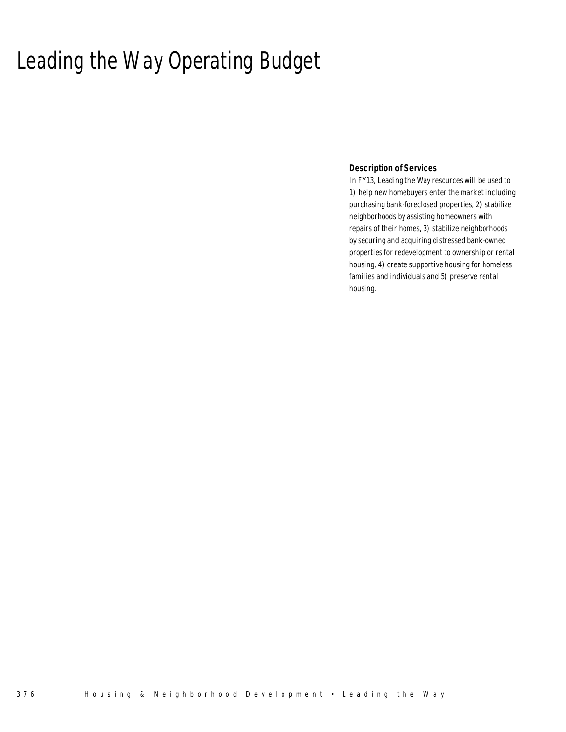# Leading the Way Operating Budget

## *Description of Services*

In FY13, Leading the Way resources will be used to 1) help new homebuyers enter the market including purchasing bank-foreclosed properties, 2) stabilize neighborhoods by assisting homeowners with repairs of their homes, 3) stabilize neighborhoods by securing and acquiring distressed bank-owned properties for redevelopment to ownership or rental housing, 4) create supportive housing for homeless families and individuals and 5) preserve rental housing.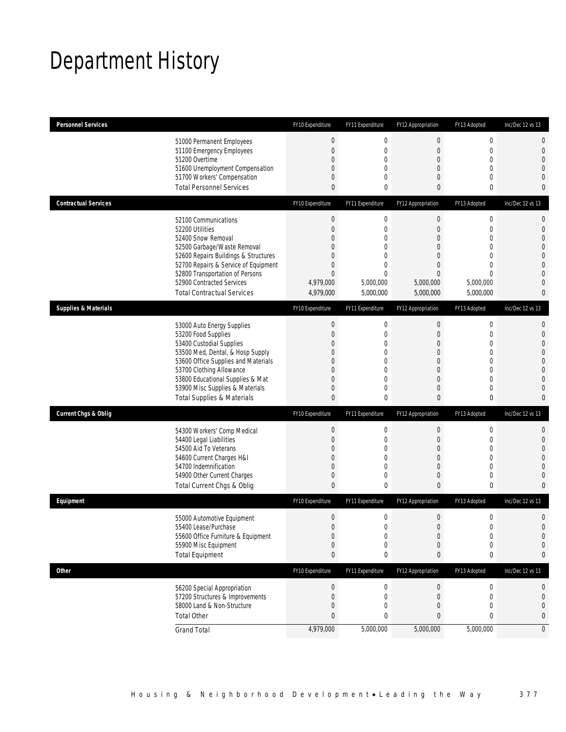# Department History

| <b>Personnel Services</b>       |                                                                     | FY10 Expenditure         | FY11 Expenditure            | FY12 Appropriation                 | FY13 Adopted                 | Inc/Dec 12 vs 13              |
|---------------------------------|---------------------------------------------------------------------|--------------------------|-----------------------------|------------------------------------|------------------------------|-------------------------------|
|                                 | 51000 Permanent Employees                                           | $\boldsymbol{0}$         | $\boldsymbol{0}$            | $\mathbf 0$                        | $\boldsymbol{0}$             | 0                             |
|                                 | 51100 Emergency Employees                                           | $\overline{0}$           | $\mathbf 0$                 | 0                                  | $\mathbf 0$                  | 0                             |
|                                 | 51200 Overtime                                                      | 0                        | $\mathbf 0$                 | $\boldsymbol{0}$                   | $\mathbf 0$                  | $\overline{0}$                |
|                                 | 51600 Unemployment Compensation<br>51700 Workers' Compensation      | 0<br>0                   | 0<br>0                      | 0<br>0                             | $\mathbf{0}$<br>$\mathbf{0}$ | 0<br>0                        |
|                                 | <b>Total Personnel Services</b>                                     | 0                        | 0                           | 0                                  | $\bf{0}$                     | 0                             |
| <b>Contractual Services</b>     |                                                                     | FY10 Expenditure         | FY11 Expenditure            | FY12 Appropriation                 | FY13 Adopted                 | Inc/Dec 12 vs 13              |
|                                 |                                                                     |                          |                             |                                    |                              |                               |
|                                 | 52100 Communications                                                | $\boldsymbol{0}$         | $\boldsymbol{0}$            | $\boldsymbol{0}$                   | $\boldsymbol{0}$             | 0                             |
|                                 | 52200 Utilities<br>52400 Snow Removal                               | $\mathbf{0}$<br>$\Omega$ | $\mathbf 0$<br>0            | $\boldsymbol{0}$<br>$\overline{0}$ | $\mathbf 0$<br>$\mathbf{0}$  | $\mathbf 0$<br>$\overline{0}$ |
|                                 | 52500 Garbage/Waste Removal                                         | 0                        | $\overline{0}$              | 0                                  | $\mathbf{0}$                 | 0                             |
|                                 | 52600 Repairs Buildings & Structures                                | $\Omega$                 | 0                           | $\Omega$                           | $\mathbf{0}$                 | 0                             |
|                                 | 52700 Repairs & Service of Equipment                                | 0                        | $\mathbf 0$                 | $\overline{0}$                     | $\mathbf 0$                  | $\overline{0}$                |
|                                 | 52800 Transportation of Persons                                     | $\mathbf{0}$             | $\mathbf{0}$                | $\overline{0}$                     | $\mathbf{0}$                 | 0                             |
|                                 | 52900 Contracted Services                                           | 4,979,000                | 5,000,000                   | 5,000,000                          | 5,000,000                    | 0                             |
|                                 | <b>Total Contractual Services</b>                                   | 4,979,000                | 5,000,000                   | 5,000,000                          | 5,000,000                    | 0                             |
| <b>Supplies &amp; Materials</b> |                                                                     | FY10 Expenditure         | FY11 Expenditure            | FY12 Appropriation                 | FY13 Adopted                 | Inc/Dec 12 vs 13              |
|                                 | 53000 Auto Energy Supplies                                          | $\boldsymbol{0}$         | $\mathbf 0$                 | $\boldsymbol{0}$                   | $\boldsymbol{0}$             | 0                             |
|                                 | 53200 Food Supplies                                                 | $\mathbf{0}$             | $\mathbf 0$                 | $\overline{0}$                     | $\mathbf 0$                  | $\mathbf 0$                   |
|                                 | 53400 Custodial Supplies                                            | 0                        | 0                           | 0                                  | $\mathbf{0}$                 | 0                             |
|                                 | 53500 Med, Dental, & Hosp Supply                                    | 0                        | $\mathbf 0$                 | 0                                  | $\mathbf 0$                  | 0                             |
|                                 | 53600 Office Supplies and Materials                                 | 0                        | $\mathbf{0}$                | $\Omega$                           | $\mathbf{0}$                 | 0                             |
|                                 | 53700 Clothing Allowance                                            | 0                        | $\mathbf{0}$                | 0                                  | $\mathbf{0}$                 | $\overline{0}$                |
|                                 | 53800 Educational Supplies & Mat<br>53900 Misc Supplies & Materials | 0<br>0                   | 0<br>0                      | $\mathbf{0}$<br>$\overline{0}$     | $\mathbf{0}$<br>$\mathbf 0$  | 0<br>0                        |
|                                 | <b>Total Supplies &amp; Materials</b>                               | $\mathbf{0}$             | $\mathbf 0$                 | $\mathbf{0}$                       | $\bf{0}$                     | 0                             |
| <b>Current Chgs &amp; Oblig</b> |                                                                     | FY10 Expenditure         | FY11 Expenditure            | FY12 Appropriation                 | FY13 Adopted                 | Inc/Dec 12 vs 13              |
|                                 |                                                                     |                          |                             |                                    |                              |                               |
|                                 | 54300 Workers' Comp Medical                                         | $\boldsymbol{0}$         | $\boldsymbol{0}$            | $\boldsymbol{0}$                   | $\boldsymbol{0}$             | 0                             |
|                                 | 54400 Legal Liabilities                                             | $\boldsymbol{0}$         | $\mathbf 0$                 | $\boldsymbol{0}$                   | $\mathbf 0$                  | $\mathbf 0$                   |
|                                 | 54500 Aid To Veterans                                               | 0                        | 0                           | 0                                  | $\mathbf{0}$                 | 0<br>0                        |
|                                 | 54600 Current Charges H&I<br>54700 Indemnification                  | 0<br>$\overline{0}$      | $\mathbf 0$<br>$\mathbf{0}$ | $\mathbf 0$<br>$\overline{0}$      | $\mathbf 0$<br>$\mathbf{0}$  | 0                             |
|                                 | 54900 Other Current Charges                                         | $\mathbf 0$              | $\mathbf 0$                 | 0                                  | $\mathbf 0$                  | 0                             |
|                                 | Total Current Chgs & Oblig                                          | $\mathbf{0}$             | $\mathbf 0$                 | 0                                  | $\bf{0}$                     | 0                             |
| Equipment                       |                                                                     | FY10 Expenditure         | FY11 Expenditure            | FY12 Appropriation                 | FY13 Adopted                 | Inc/Dec 12 vs 13              |
|                                 | 55000 Automotive Equipment                                          | $\boldsymbol{0}$         | $\boldsymbol{0}$            | $\boldsymbol{0}$                   | $\boldsymbol{0}$             | 0                             |
|                                 | 55400 Lease/Purchase                                                | $\mathbf{0}$             | $\mathbf 0$                 | $\overline{0}$                     | $\mathbf{0}$                 | $\mathbf{0}$                  |
|                                 | 55600 Office Furniture & Equipment                                  | $\boldsymbol{0}$         | 0                           | $\boldsymbol{0}$                   | $\boldsymbol{0}$             | $\mathbf 0$                   |
|                                 | 55900 Misc Equipment                                                | $\mathbf 0$              | $\boldsymbol{0}$            | $\boldsymbol{0}$                   | $\boldsymbol{0}$             | 0                             |
|                                 | <b>Total Equipment</b>                                              | $\pmb{0}$                | 0                           | 0                                  | 0                            | 0                             |
| <b>Other</b>                    |                                                                     | FY10 Expenditure         | FY11 Expenditure            | FY12 Appropriation                 | FY13 Adopted                 | Inc/Dec 12 vs 13              |
|                                 | 56200 Special Appropriation                                         | $\boldsymbol{0}$         | 0                           | $\boldsymbol{0}$                   | 0                            | 0                             |
|                                 | 57200 Structures & Improvements                                     | $\boldsymbol{0}$         | 0                           | $\mathbf 0$                        | 0                            | 0                             |
|                                 | 58000 Land & Non-Structure                                          | 0                        | 0                           | $\mathbf 0$                        | $\mathbf{0}$                 | 0                             |
|                                 | <b>Total Other</b>                                                  | $\pmb{0}$                | 0                           | 0                                  | 0                            | 0                             |
|                                 | <b>Grand Total</b>                                                  | 4,979,000                | 5,000,000                   | 5,000,000                          | 5,000,000                    | $\overline{0}$                |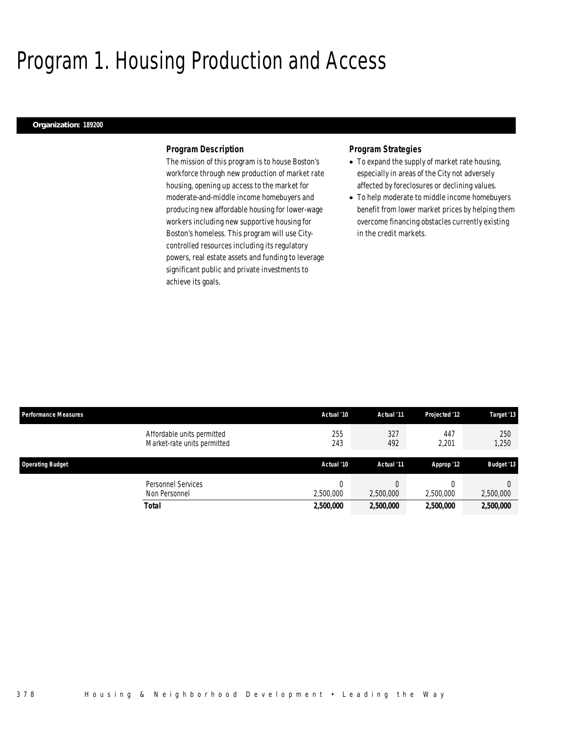# Program 1. Housing Production and Access

### *Organization: 189200*

## *Program Description*

The mission of this program is to house Boston's workforce through new production of market rate housing, opening up access to the market for moderate-and-middle income homebuyers and producing new affordable housing for lower-wage workers including new supportive housing for Boston's homeless. This program will use Citycontrolled resources including its regulatory powers, real estate assets and funding to leverage significant public and private investments to achieve its goals.

## *Program Strategies*

- To expand the supply of market rate housing, especially in areas of the City not adversely affected by foreclosures or declining values.
- To help moderate to middle income homebuyers benefit from lower market prices by helping them overcome financing obstacles currently existing in the credit markets.

| <b>Performance Measures</b>                               | Actual '10 | Actual '11 | Projected '12         | Target '13        |
|-----------------------------------------------------------|------------|------------|-----------------------|-------------------|
| Affordable units permitted<br>Market-rate units permitted | 255<br>243 | 327<br>492 | 447<br>2,201          | 250<br>1,250      |
| <b>Operating Budget</b>                                   | Actual '10 | Actual '11 | Approp '12            | <b>Budget '13</b> |
| Personnel Services<br>Non Personnel                       | 2.500.000  | 2,500,000  | $\Omega$<br>2,500,000 | 2,500,000         |
| Total                                                     | 2,500,000  | 2,500,000  | 2,500,000             | 2,500,000         |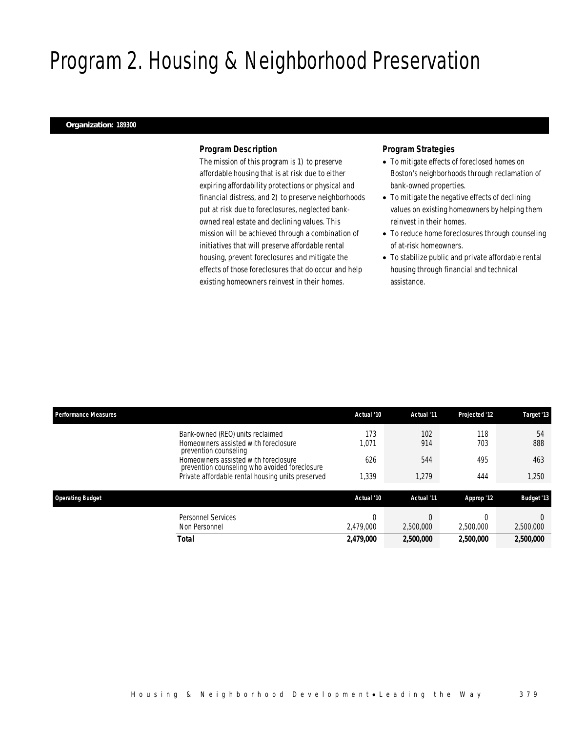# Program 2. Housing & Neighborhood Preservation

### *Organization: 189300*

## *Program Description*

The mission of this program is 1) to preserve affordable housing that is at risk due to either expiring affordability protections or physical and financial distress, and 2) to preserve neighborhoods put at risk due to foreclosures, neglected bankowned real estate and declining values. This mission will be achieved through a combination of initiatives that will preserve affordable rental housing, prevent foreclosures and mitigate the effects of those foreclosures that do occur and help existing homeowners reinvest in their homes.

## *Program Strategies*

- To mitigate effects of foreclosed homes on Boston's neighborhoods through reclamation of bank-owned properties.
- To mitigate the negative effects of declining values on existing homeowners by helping them reinvest in their homes.
- To reduce home foreclosures through counseling of at-risk homeowners.
- To stabilize public and private affordable rental housing through financial and technical assistance.

| <b>Performance Measures</b>                                                                       | Actual '10     | Actual '11 | Projected '12 | Target '13        |
|---------------------------------------------------------------------------------------------------|----------------|------------|---------------|-------------------|
| Bank-owned (REO) units reclaimed<br>Homeowners assisted with foreclosure<br>prevention counseling | 173<br>1,071   | 102<br>914 | 118<br>703    | 54<br>888         |
| Homeowners assisted with foreclosure<br>prevention counseling who avoided foreclosure             | 626            | 544        | 495           | 463               |
| Private affordable rental housing units preserved                                                 | 1,339          | 1.279      | 444           | 1.250             |
| <b>Operating Budget</b>                                                                           | Actual '10     | Actual '11 | Approp '12    | <b>Budget '13</b> |
| <b>Personnel Services</b><br>Non Personnel                                                        | O<br>2,479,000 | 2.500.000  | 2,500,000     | 2,500,000         |
| Total                                                                                             | 2,479,000      | 2,500,000  | 2,500,000     | 2,500,000         |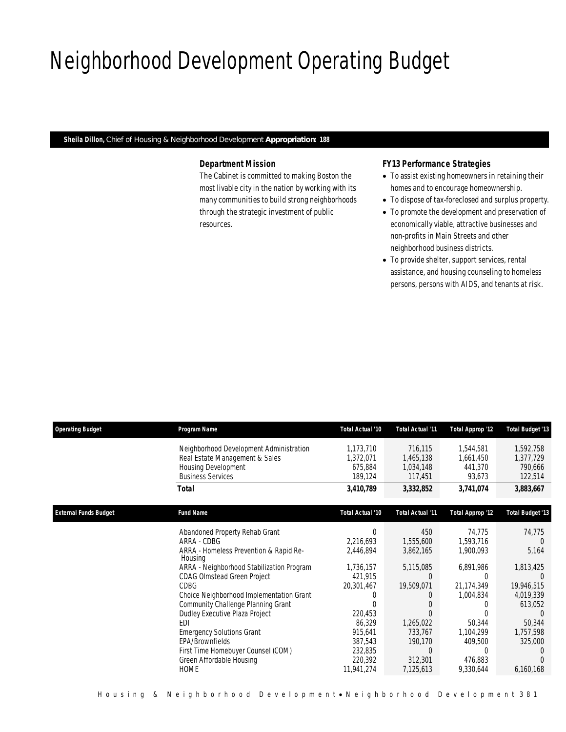# Neighborhood Development Operating Budget

*Sheila Dillon, Chief of Housing & Neighborhood Development Appropriation: 188* 

# *Department Mission*

The Cabinet is committed to making Boston the most livable city in the nation by working with its many communities to build strong neighborhoods through the strategic investment of public resources.

## *FY13 Performance Strategies*

- To assist existing homeowners in retaining their homes and to encourage homeownership.
- To dispose of tax-foreclosed and surplus property.
- To promote the development and preservation of economically viable, attractive businesses and non-profits in Main Streets and other neighborhood business districts.
- To provide shelter, support services, rental assistance, and housing counseling to homeless persons, persons with AIDS, and tenants at risk.

| <b>Operating Budget</b>      | Program Name                                                                                                                                                                                                                                                                                                                                                                                                                                                                   | Total Actual '10                                                                                                                                        | <b>Total Actual '11</b>                                                                                                         | <b>Total Approp '12</b>                                                                                                                 | <b>Total Budget '13</b>                                                                                           |
|------------------------------|--------------------------------------------------------------------------------------------------------------------------------------------------------------------------------------------------------------------------------------------------------------------------------------------------------------------------------------------------------------------------------------------------------------------------------------------------------------------------------|---------------------------------------------------------------------------------------------------------------------------------------------------------|---------------------------------------------------------------------------------------------------------------------------------|-----------------------------------------------------------------------------------------------------------------------------------------|-------------------------------------------------------------------------------------------------------------------|
|                              | Neighborhood Development Administration<br>Real Estate Management & Sales<br>Housing Development<br><b>Business Services</b>                                                                                                                                                                                                                                                                                                                                                   | 1,173,710<br>1,372,071<br>675,884<br>189,124                                                                                                            | 716,115<br>1,465,138<br>1,034,148<br>117,451                                                                                    | 1,544,581<br>1,661,450<br>441,370<br>93,673                                                                                             | 1,592,758<br>1,377,729<br>790,666<br>122,514                                                                      |
|                              | Total                                                                                                                                                                                                                                                                                                                                                                                                                                                                          | 3,410,789                                                                                                                                               | 3,332,852                                                                                                                       | 3,741,074                                                                                                                               | 3,883,667                                                                                                         |
| <b>External Funds Budget</b> | <b>Fund Name</b>                                                                                                                                                                                                                                                                                                                                                                                                                                                               | Total Actual '10                                                                                                                                        | <b>Total Actual '11</b>                                                                                                         | <b>Total Approp '12</b>                                                                                                                 | <b>Total Budget '13</b>                                                                                           |
|                              | Abandoned Property Rehab Grant<br>ARRA - CDBG<br>ARRA - Homeless Prevention & Rapid Re-<br>Housing<br>ARRA - Neighborhood Stabilization Program<br><b>CDAG Olmstead Green Project</b><br><b>CDBG</b><br>Choice Neighborhood Implementation Grant<br>Community Challenge Planning Grant<br>Dudley Executive Plaza Project<br><b>FDI</b><br><b>Emergency Solutions Grant</b><br>EPA/Brownfields<br>First Time Homebuyer Counsel (COM)<br>Green Affordable Housing<br><b>HOME</b> | $\Omega$<br>2,216,693<br>2,446,894<br>1,736,157<br>421,915<br>20,301,467<br>220,453<br>86,329<br>915,641<br>387,543<br>232,835<br>220,392<br>11,941,274 | 450<br>1,555,600<br>3,862,165<br>5,115,085<br>$\Omega$<br>19,509,071<br>1,265,022<br>733,767<br>190,170<br>312,301<br>7,125,613 | 74,775<br>1,593,716<br>1,900,093<br>6,891,986<br>0<br>21,174,349<br>1,004,834<br>50,344<br>1,104,299<br>409,500<br>476.883<br>9,330,644 | 74,775<br>5,164<br>1,813,425<br>19,946,515<br>4,019,339<br>613,052<br>50,344<br>1,757,598<br>325,000<br>6,160,168 |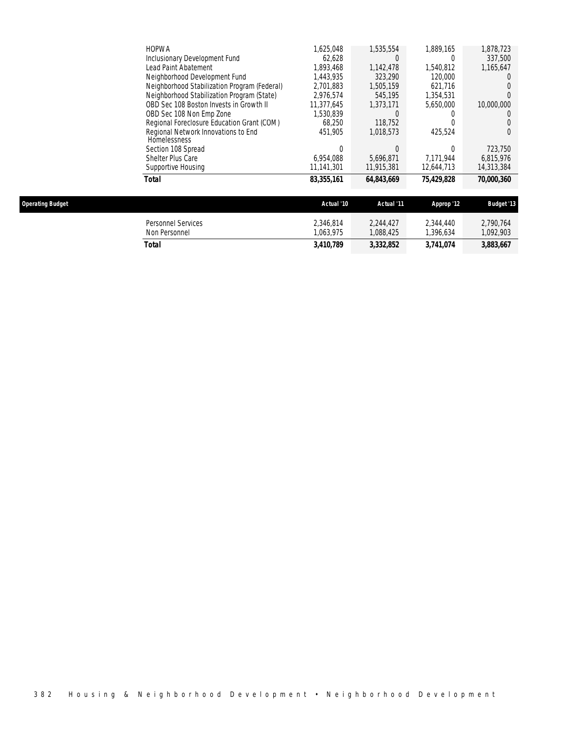| Total                                               | 83,355,161 | 64,843,669       | 75,429,828       | 70,000,360 |
|-----------------------------------------------------|------------|------------------|------------------|------------|
| Supportive Housing                                  | 11,141,301 | 11,915,381       | 12,644,713       | 14,313,384 |
| Shelter Plus Care                                   | 6.954.088  | 5.696.871        | 7.171.944        | 6,815,976  |
| Section 108 Spread                                  |            |                  | 0                | 723.750    |
| Regional Network Innovations to End<br>Homelessness | 451.905    | 1.018.573        | 425,524          |            |
| Regional Foreclosure Education Grant (COM)          | 68,250     | 118,752          | $\left( \right)$ |            |
| OBD Sec 108 Non Emp Zone                            | 1.530.839  |                  |                  |            |
| OBD Sec 108 Boston Invests in Growth II             | 11.377.645 | 1.373.171        | 5.650.000        | 10,000,000 |
| Neighborhood Stabilization Program (State)          | 2,976,574  | 545,195          | 1,354,531        |            |
| Neighborhood Stabilization Program (Federal)        | 2.701.883  | 1.505.159        | 621.716          |            |
| Neighborhood Development Fund                       | 1.443.935  | 323,290          | 120,000          |            |
| Lead Paint Abatement                                | 1,893,468  | 1,142,478        | 1,540,812        | 1.165.647  |
| Inclusionary Development Fund                       | 62.628     | $\left( \right)$ | $\left( \right)$ | 337.500    |
| <b>HOPWA</b>                                        | 1,625,048  | 1,535,554        | 1,889,165        | 1,878,723  |

| <b>Operating Budget</b> |                                     | Actual '10            | Actual '11             | Approp '12            | <b>Budget '13</b>     |
|-------------------------|-------------------------------------|-----------------------|------------------------|-----------------------|-----------------------|
|                         | Personnel Services<br>Non Personnel | 2.346.814<br>.063.975 | 2.244.427<br>1.088.425 | 2.344.440<br>.396.634 | 2,790,764<br>,092,903 |
|                         | Total                               | 3,410,789             | 3,332,852              | 3,741,074             | 3,883,667             |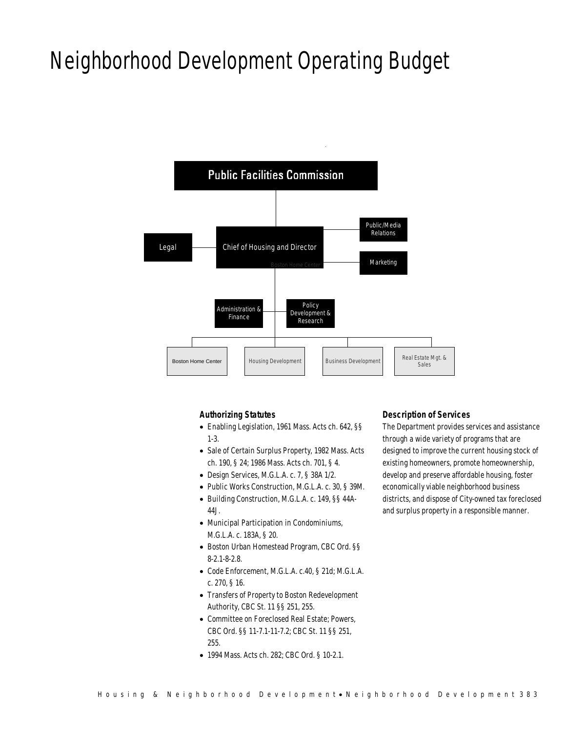# Neighborhood Development Operating Budget



## *Authorizing Statutes*

- Enabling Legislation, 1961 Mass. Acts ch. 642, §§ 1-3.
- Sale of Certain Surplus Property, 1982 Mass. Acts ch. 190, § 24; 1986 Mass. Acts ch. 701, § 4.
- Design Services, M.G.L.A. c. 7, § 38A 1/2.
- Public Works Construction, M.G.L.A. c. 30, § 39M.
- Building Construction, M.G.L.A. c. 149, §§ 44A-44J.
- Municipal Participation in Condominiums, M.G.L.A. c. 183A, § 20.
- Boston Urban Homestead Program, CBC Ord. §§ 8-2.1-8-2.8.
- Code Enforcement, M.G.L.A. c.40, § 21d; M.G.L.A. c. 270, § 16.
- Transfers of Property to Boston Redevelopment Authority, CBC St. 11 §§ 251, 255.
- Committee on Foreclosed Real Estate; Powers, CBC Ord. §§ 11-7.1-11-7.2; CBC St. 11 §§ 251, 255.
- 1994 Mass. Acts ch. 282; CBC Ord. § 10-2.1.

## *Description of Services*

The Department provides services and assistance through a wide variety of programs that are designed to improve the current housing stock of existing homeowners, promote homeownership, develop and preserve affordable housing, foster economically viable neighborhood business districts, and dispose of City-owned tax foreclosed and surplus property in a responsible manner.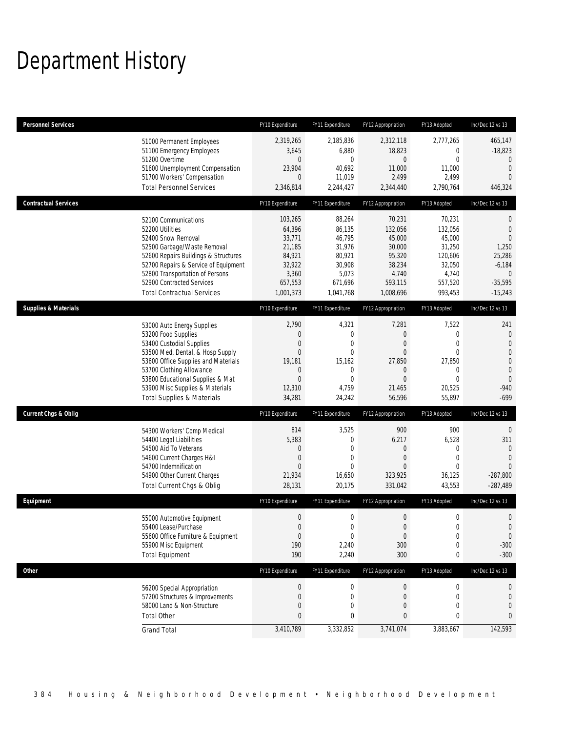# Department History

| <b>Personnel Services</b>       |                                                                                                                                                                                                                                                                                                      | FY10 Expenditure                                                                                 | FY11 Expenditure                                                                                             | FY12 Appropriation                                                                                           | FY13 Adopted                                                                              | Inc/Dec 12 vs 13                                                                                                       |
|---------------------------------|------------------------------------------------------------------------------------------------------------------------------------------------------------------------------------------------------------------------------------------------------------------------------------------------------|--------------------------------------------------------------------------------------------------|--------------------------------------------------------------------------------------------------------------|--------------------------------------------------------------------------------------------------------------|-------------------------------------------------------------------------------------------|------------------------------------------------------------------------------------------------------------------------|
|                                 | 51000 Permanent Employees<br>51100 Emergency Employees<br>51200 Overtime<br>51600 Unemployment Compensation<br>51700 Workers' Compensation<br><b>Total Personnel Services</b>                                                                                                                        | 2,319,265<br>3,645<br>$\overline{0}$<br>23,904<br>$\overline{0}$<br>2,346,814                    | 2,185,836<br>6,880<br>$\mathbf{0}$<br>40,692<br>11,019<br>2,244,427                                          | 2,312,118<br>18,823<br>0<br>11,000<br>2,499<br>2,344,440                                                     | 2,777,265<br>0<br>0<br>11,000<br>2,499<br>2,790,764                                       | 465,147<br>$-18,823$<br>$\mathbf{0}$<br>$\mathbf 0$<br>$\Omega$<br>446,324                                             |
| <b>Contractual Services</b>     |                                                                                                                                                                                                                                                                                                      | FY10 Expenditure                                                                                 | FY11 Expenditure                                                                                             | FY12 Appropriation                                                                                           | FY13 Adopted                                                                              | Inc/Dec 12 vs 13                                                                                                       |
|                                 | 52100 Communications<br>52200 Utilities<br>52400 Snow Removal<br>52500 Garbage/Waste Removal<br>52600 Repairs Buildings & Structures<br>52700 Repairs & Service of Equipment<br>52800 Transportation of Persons<br>52900 Contracted Services<br><b>Total Contractual Services</b>                    | 103,265<br>64,396<br>33,771<br>21,185<br>84,921<br>32,922<br>3,360<br>657,553<br>1,001,373       | 88,264<br>86,135<br>46,795<br>31,976<br>80,921<br>30,908<br>5,073<br>671,696<br>1,041,768                    | 70,231<br>132,056<br>45,000<br>30,000<br>95,320<br>38,234<br>4,740<br>593,115<br>1,008,696                   | 70,231<br>132,056<br>45,000<br>31,250<br>120,606<br>32,050<br>4,740<br>557,520<br>993,453 | $\theta$<br>$\mathbf 0$<br>$\Omega$<br>1,250<br>25,286<br>$-6,184$<br>$\overline{0}$<br>$-35,595$<br>$-15,243$         |
| <b>Supplies &amp; Materials</b> |                                                                                                                                                                                                                                                                                                      | FY10 Expenditure                                                                                 | FY11 Expenditure                                                                                             | FY12 Appropriation                                                                                           | FY13 Adopted                                                                              | Inc/Dec 12 vs 13                                                                                                       |
|                                 | 53000 Auto Energy Supplies<br>53200 Food Supplies<br>53400 Custodial Supplies<br>53500 Med, Dental, & Hosp Supply<br>53600 Office Supplies and Materials<br>53700 Clothing Allowance<br>53800 Educational Supplies & Mat<br>53900 Misc Supplies & Materials<br><b>Total Supplies &amp; Materials</b> | 2,790<br>$\boldsymbol{0}$<br>$\mathbf 0$<br>0<br>19,181<br>0<br>$\mathbf{0}$<br>12,310<br>34,281 | 4,321<br>$\mathbf 0$<br>$\mathbf{0}$<br>$\mathbf{0}$<br>15,162<br>$\mathbf 0$<br>$\Omega$<br>4,759<br>24,242 | 7,281<br>$\boldsymbol{0}$<br>$\mathbf{0}$<br>$\mathbf{0}$<br>27,850<br>0<br>$\mathbf{0}$<br>21,465<br>56,596 | 7,522<br>0<br>0<br>$\Omega$<br>27,850<br>0<br>$\Omega$<br>20,525<br>55,897                | 241<br>$\mathbf 0$<br>$\theta$<br>$\mathbf 0$<br>$\boldsymbol{0}$<br>$\overline{0}$<br>$\mathbf 0$<br>$-940$<br>$-699$ |
| <b>Current Chgs &amp; Oblig</b> |                                                                                                                                                                                                                                                                                                      | FY10 Expenditure                                                                                 | FY11 Expenditure                                                                                             | FY12 Appropriation                                                                                           | FY13 Adopted                                                                              | Inc/Dec 12 vs 13                                                                                                       |
|                                 | 54300 Workers' Comp Medical<br>54400 Legal Liabilities<br>54500 Aid To Veterans<br>54600 Current Charges H&I<br>54700 Indemnification<br>54900 Other Current Charges<br>Total Current Chgs & Oblig                                                                                                   | 814<br>5,383<br>0<br>$\overline{0}$<br>$\Omega$<br>21,934<br>28,131                              | 3,525<br>$\mathbf{0}$<br>$\mathbf{0}$<br>$\mathbf 0$<br>$\theta$<br>16,650<br>20,175                         | 900<br>6,217<br>0<br>$\mathbf{0}$<br>$\Omega$<br>323,925<br>331,042                                          | 900<br>6,528<br>$\mathbf{0}$<br>0<br>$\Omega$<br>36,125<br>43,553                         | $\theta$<br>311<br>$\mathbf{0}$<br>$\Omega$<br>$-287,800$<br>$-287,489$                                                |
| Equipment                       |                                                                                                                                                                                                                                                                                                      | FY10 Expenditure                                                                                 | FY11 Expenditure                                                                                             | FY12 Appropriation                                                                                           | FY13 Adopted                                                                              | Inc/Dec 12 vs 13                                                                                                       |
|                                 | 55000 Automotive Equipment<br>55400 Lease/Purchase<br>55600 Office Furniture & Equipment<br>55900 Misc Equipment<br><b>Total Equipment</b>                                                                                                                                                           | $\boldsymbol{0}$<br>$\boldsymbol{0}$<br>$\mathbf 0$<br>190<br>190                                | $\mathbf 0$<br>0<br>$\boldsymbol{0}$<br>2,240<br>2,240                                                       | $\mathbf 0$<br>$\boldsymbol{0}$<br>$\boldsymbol{0}$<br>300<br>300                                            | 0<br>$\Omega$<br>0<br>0<br>0                                                              | $\mathbf 0$<br>$\Omega$<br>$\mathbf 0$<br>$-300$<br>$-300$                                                             |
| Other                           |                                                                                                                                                                                                                                                                                                      | FY10 Expenditure                                                                                 | FY11 Expenditure                                                                                             | FY12 Appropriation                                                                                           | FY13 Adopted                                                                              | Inc/Dec 12 vs 13                                                                                                       |
|                                 | 56200 Special Appropriation<br>57200 Structures & Improvements<br>58000 Land & Non-Structure<br><b>Total Other</b>                                                                                                                                                                                   | $\boldsymbol{0}$<br>$\boldsymbol{0}$<br>0<br>0                                                   | $\boldsymbol{0}$<br>$\mathbf 0$<br>$\mathbf 0$<br>0                                                          | 0<br>$\boldsymbol{0}$<br>0<br>$\bf 0$                                                                        | 0<br>$\mathbf 0$<br>0<br>0                                                                | 0<br>$\mathbf 0$<br>$\mathbf 0$<br>$\mathbf{0}$                                                                        |
|                                 | <b>Grand Total</b>                                                                                                                                                                                                                                                                                   | 3,410,789                                                                                        | 3,332,852                                                                                                    | 3,741,074                                                                                                    | 3,883,667                                                                                 | 142,593                                                                                                                |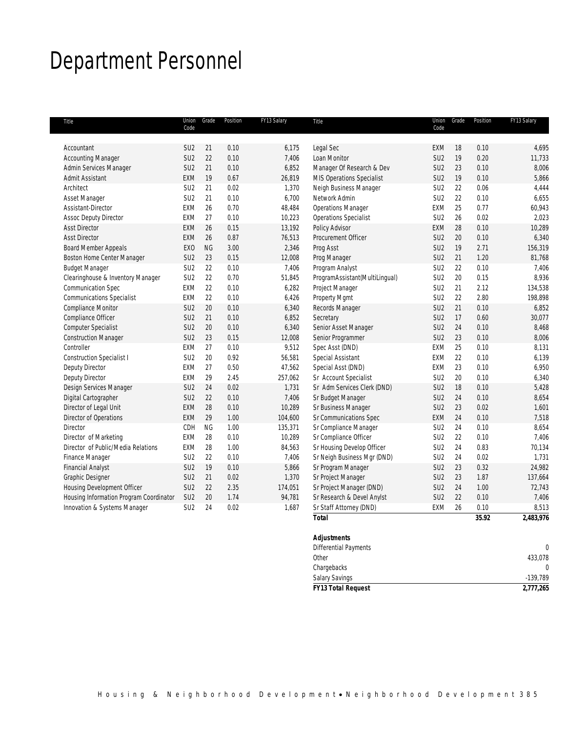# Department Personnel

| Title                                   | Union<br>Code   | Grade     | Position | FY13 Salary | Title                          | Union<br>Code   | Grade | Position | FY13 Salary |
|-----------------------------------------|-----------------|-----------|----------|-------------|--------------------------------|-----------------|-------|----------|-------------|
|                                         |                 |           |          |             |                                |                 |       |          |             |
| Accountant                              | SU <sub>2</sub> | 21        | 0.10     | 6,175       | Legal Sec                      | EXM             | 18    | 0.10     | 4,695       |
| <b>Accounting Manager</b>               | SU <sub>2</sub> | 22        | 0.10     | 7,406       | Loan Monitor                   | SU <sub>2</sub> | 19    | 0.20     | 11,733      |
| Admin Services Manager                  | SU <sub>2</sub> | 21        | 0.10     | 6,852       | Manager Of Research & Dev      | SU <sub>2</sub> | 23    | 0.10     | 8,006       |
| <b>Admit Assistant</b>                  | <b>EXM</b>      | 19        | 0.67     | 26,819      | MIS Operations Specialist      | SU <sub>2</sub> | 19    | 0.10     | 5,866       |
| Architect                               | SU <sub>2</sub> | 21        | 0.02     | 1,370       | Neigh Business Manager         | SU <sub>2</sub> | 22    | 0.06     | 4,444       |
| Asset Manager                           | SU <sub>2</sub> | 21        | 0.10     | 6.700       | Network Admin                  | SU <sub>2</sub> | 22    | 0.10     | 6,655       |
| Assistant-Director                      | <b>EXM</b>      | 26        | 0.70     | 48,484      | <b>Operations Manager</b>      | EXM             | 25    | 0.77     | 60,943      |
| <b>Assoc Deputy Director</b>            | <b>EXM</b>      | 27        | 0.10     | 10,223      | Operations Specialist          | SU <sub>2</sub> | 26    | 0.02     | 2,023       |
| <b>Asst Director</b>                    | <b>EXM</b>      | 26        | 0.15     | 13,192      | Policy Advisor                 | EXM             | 28    | 0.10     | 10,289      |
| <b>Asst Director</b>                    | <b>EXM</b>      | 26        | 0.87     | 76,513      | Procurement Officer            | SU <sub>2</sub> | 20    | 0.10     | 6,340       |
| <b>Board Member Appeals</b>             | EX <sub>O</sub> | <b>NG</b> | 3.00     | 2,346       | Prog Asst                      | SU <sub>2</sub> | 19    | 2.71     | 156,319     |
| Boston Home Center Manager              | SU <sub>2</sub> | 23        | 0.15     | 12,008      | Prog Manager                   | SU <sub>2</sub> | 21    | 1.20     | 81,768      |
| <b>Budget Manager</b>                   | SU <sub>2</sub> | 22        | 0.10     | 7,406       | Program Analyst                | SU <sub>2</sub> | 22    | 0.10     | 7,406       |
| Clearinghouse & Inventory Manager       | SU <sub>2</sub> | 22        | 0.70     | 51,845      | ProgramAssistant(MultiLingual) | SU <sub>2</sub> | 20    | 0.15     | 8,936       |
| Communication Spec                      | EXM             | 22        | 0.10     | 6,282       | Project Manager                | SU <sub>2</sub> | 21    | 2.12     | 134,538     |
| <b>Communications Specialist</b>        | <b>EXM</b>      | 22        | 0.10     | 6,426       | Property Mgmt                  | SU <sub>2</sub> | 22    | 2.80     | 198,898     |
| <b>Compliance Monitor</b>               | SU <sub>2</sub> | 20        | 0.10     | 6,340       | Records Manager                | SU <sub>2</sub> | 21    | 0.10     | 6,852       |
| Compliance Officer                      | SU <sub>2</sub> | 21        | 0.10     | 6,852       | Secretary                      | SU <sub>2</sub> | 17    | 0.60     | 30,077      |
| <b>Computer Specialist</b>              | SU <sub>2</sub> | 20        | 0.10     | 6,340       | Senior Asset Manager           | SU <sub>2</sub> | 24    | 0.10     | 8,468       |
| <b>Construction Manager</b>             | SU <sub>2</sub> | 23        | 0.15     | 12,008      | Senior Programmer              | SU <sub>2</sub> | 23    | 0.10     | 8,006       |
| Controller                              | EXM             | 27        | 0.10     | 9,512       | Spec Asst (DND)                | EXM             | 25    | 0.10     | 8,131       |
| <b>Construction Specialist I</b>        | SU <sub>2</sub> | 20        | 0.92     | 56,581      | Special Assistant              | EXM             | 22    | 0.10     | 6,139       |
| Deputy Director                         | EXM             | 27        | 0.50     | 47,562      | Special Asst (DND)             | EXM             | 23    | 0.10     | 6,950       |
| Deputy Director                         | <b>EXM</b>      | 29        | 2.45     | 257,062     | Sr Account Specialist          | SU <sub>2</sub> | 20    | 0.10     | 6,340       |
| Design Services Manager                 | SU <sub>2</sub> | 24        | 0.02     | 1,731       | Sr Adm Services Clerk (DND)    | SU <sub>2</sub> | 18    | 0.10     | 5,428       |
| Digital Cartographer                    | SU <sub>2</sub> | 22        | 0.10     | 7,406       | Sr Budget Manager              | SU <sub>2</sub> | 24    | 0.10     | 8,654       |
| Director of Legal Unit                  | <b>EXM</b>      | 28        | 0.10     | 10,289      | Sr Business Manager            | SU <sub>2</sub> | 23    | 0.02     | 1,601       |
| Director of Operations                  | <b>EXM</b>      | 29        | 1.00     | 104,600     | Sr Communications Spec         | EXM             | 24    | 0.10     | 7,518       |
| Director                                | CDH             | <b>NG</b> | 1.00     | 135,371     | Sr Compliance Manager          | SU <sub>2</sub> | 24    | 0.10     | 8,654       |
| Director of Marketing                   | <b>EXM</b>      | 28        | 0.10     | 10,289      | Sr Compliance Officer          | SU <sub>2</sub> | 22    | 0.10     | 7,406       |
| Director of Public/Media Relations      | EXM             | 28        | 1.00     | 84,563      | Sr Housing Develop Officer     | SU <sub>2</sub> | 24    | 0.83     | 70,134      |
| Finance Manager                         | SU <sub>2</sub> | 22        | 0.10     | 7,406       | Sr Neigh Business Mgr (DND)    | SU <sub>2</sub> | 24    | 0.02     | 1,731       |
| <b>Financial Analyst</b>                | SU <sub>2</sub> | 19        | 0.10     | 5,866       | Sr Program Manager             | SU <sub>2</sub> | 23    | 0.32     | 24,982      |
| <b>Graphic Designer</b>                 | SU <sub>2</sub> | 21        | 0.02     | 1,370       | Sr Project Manager             | SU <sub>2</sub> | 23    | 1.87     | 137,664     |
| <b>Housing Development Officer</b>      | SU <sub>2</sub> | 22        | 2.35     | 174,051     | Sr Project Manager (DND)       | SU <sub>2</sub> | 24    | 1.00     | 72,743      |
| Housing Information Program Coordinator | SU <sub>2</sub> | $20\,$    | 1.74     | 94,781      | Sr Research & Devel Anylst     | SU <sub>2</sub> | 22    | 0.10     | 7,406       |
| Innovation & Systems Manager            | SU <sub>2</sub> | 24        | 0.02     | 1,687       | Sr Staff Attorney (DND)        | EXM             | 26    | 0.10     | 8,513       |
|                                         |                 |           |          |             | <b>Total</b>                   |                 |       | 35.92    | 2,483,976   |

| .                            | $\cdots$ | $-7.007.00$ |
|------------------------------|----------|-------------|
| <b>Adjustments</b>           |          |             |
| <b>Differential Payments</b> |          |             |
| Other                        |          | 433,078     |
| Chargebacks                  |          | 0           |
| <b>Salary Savings</b>        |          | $-139,789$  |
| <b>FY13 Total Request</b>    |          | 2,777,265   |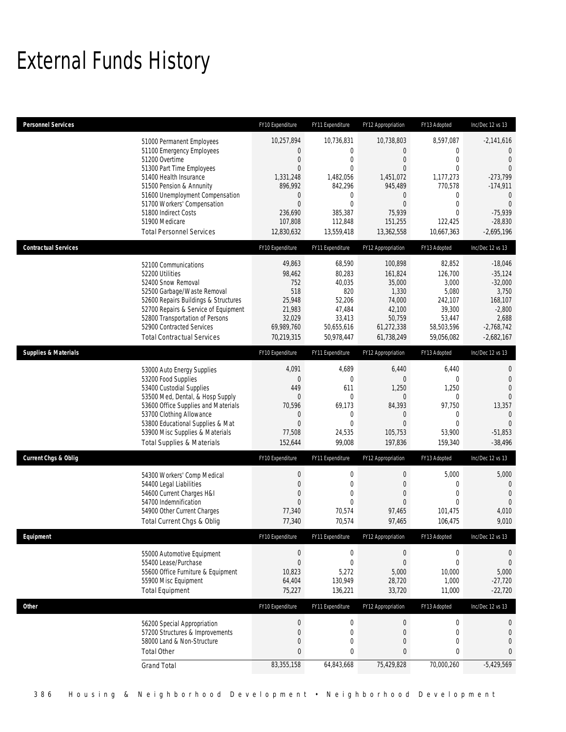# External Funds History

| <b>Personnel Services</b>       |                                                                                                                                                                                                                                                                                                            | FY10 Expenditure                                                                                                                                   | FY11 Expenditure                                                                                                                          | FY12 Appropriation                                                                                                      | FY13 Adopted                                                                                                                              | Inc/Dec 12 vs 13                                                                                                                            |
|---------------------------------|------------------------------------------------------------------------------------------------------------------------------------------------------------------------------------------------------------------------------------------------------------------------------------------------------------|----------------------------------------------------------------------------------------------------------------------------------------------------|-------------------------------------------------------------------------------------------------------------------------------------------|-------------------------------------------------------------------------------------------------------------------------|-------------------------------------------------------------------------------------------------------------------------------------------|---------------------------------------------------------------------------------------------------------------------------------------------|
|                                 | 51000 Permanent Employees<br>51100 Emergency Employees<br>51200 Overtime<br>51300 Part Time Employees<br>51400 Health Insurance<br>51500 Pension & Annunity<br>51600 Unemployment Compensation<br>51700 Workers' Compensation<br>51800 Indirect Costs<br>51900 Medicare<br><b>Total Personnel Services</b> | 10,257,894<br>0<br>$\boldsymbol{0}$<br>$\overline{0}$<br>1,331,248<br>896,992<br>$\mathbf 0$<br>$\overline{0}$<br>236,690<br>107,808<br>12,830,632 | 10,736,831<br>$\mathbf 0$<br>$\mathbf 0$<br>$\overline{0}$<br>1,482,056<br>842,296<br>$\mathbf 0$<br>$\overline{0}$<br>385,387<br>112,848 | 10,738,803<br>0<br>$\boldsymbol{0}$<br>$\overline{0}$<br>1,451,072<br>945,489<br>0<br>$\mathbf{0}$<br>75,939<br>151,255 | 8,597,087<br>$\mathbf{0}$<br>$\mathbf{0}$<br>$\Omega$<br>1,177,273<br>770,578<br>$\mathbf 0$<br>$\mathbf{0}$<br>$\overline{0}$<br>122.425 | $-2,141,616$<br>$\theta$<br>$\mathbf{0}$<br>$\Omega$<br>$-273,799$<br>$-174,911$<br>$\mathbf 0$<br>$\overline{0}$<br>$-75,939$<br>$-28,830$ |
| <b>Contractual Services</b>     |                                                                                                                                                                                                                                                                                                            | FY10 Expenditure                                                                                                                                   | 13,559,418<br>FY11 Expenditure                                                                                                            | 13,362,558<br>FY12 Appropriation                                                                                        | 10,667,363<br>FY13 Adopted                                                                                                                | $-2,695,196$<br>Inc/Dec 12 vs 13                                                                                                            |
|                                 | 52100 Communications<br>52200 Utilities<br>52400 Snow Removal<br>52500 Garbage/Waste Removal<br>52600 Repairs Buildings & Structures<br>52700 Repairs & Service of Equipment<br>52800 Transportation of Persons<br>52900 Contracted Services<br><b>Total Contractual Services</b>                          | 49,863<br>98,462<br>752<br>518<br>25,948<br>21,983<br>32,029<br>69,989,760<br>70,219,315                                                           | 68,590<br>80,283<br>40,035<br>820<br>52,206<br>47,484<br>33,413<br>50,655,616<br>50,978,447                                               | 100,898<br>161,824<br>35,000<br>1,330<br>74,000<br>42,100<br>50,759<br>61,272,338<br>61,738,249                         | 82,852<br>126,700<br>3,000<br>5,080<br>242,107<br>39,300<br>53,447<br>58,503,596<br>59,056,082                                            | $-18,046$<br>$-35,124$<br>$-32,000$<br>3,750<br>168,107<br>$-2,800$<br>2,688<br>$-2,768,742$<br>$-2,682,167$                                |
| <b>Supplies &amp; Materials</b> |                                                                                                                                                                                                                                                                                                            | FY10 Expenditure                                                                                                                                   | FY11 Expenditure                                                                                                                          | FY12 Appropriation                                                                                                      | FY13 Adopted                                                                                                                              | Inc/Dec 12 vs 13                                                                                                                            |
|                                 | 53000 Auto Energy Supplies<br>53200 Food Supplies<br>53400 Custodial Supplies<br>53500 Med, Dental, & Hosp Supply<br>53600 Office Supplies and Materials<br>53700 Clothing Allowance<br>53800 Educational Supplies & Mat<br>53900 Misc Supplies & Materials<br><b>Total Supplies &amp; Materials</b>       | 4,091<br>$\boldsymbol{0}$<br>449<br>$\mathbf{0}$<br>70,596<br>$\mathbf 0$<br>$\overline{0}$<br>77,508<br>152,644                                   | 4,689<br>$\mathbf 0$<br>611<br>$\mathbf 0$<br>69,173<br>$\mathbf 0$<br>$\overline{0}$<br>24,535<br>99,008                                 | 6,440<br>$\mathbf{0}$<br>1,250<br>$\mathbf 0$<br>84,393<br>$\mathbf 0$<br>$\overline{0}$<br>105,753<br>197,836          | 6,440<br>$\mathbf{0}$<br>1,250<br>$\mathbf{0}$<br>97,750<br>$\mathbf{0}$<br>$\mathbf{0}$<br>53,900<br>159,340                             | 0<br>$\overline{0}$<br>$\mathbf{0}$<br>$\mathbf{0}$<br>13,357<br>$\overline{0}$<br>$\Omega$<br>$-51,853$<br>$-38,496$                       |
| <b>Current Chgs &amp; Oblig</b> |                                                                                                                                                                                                                                                                                                            | FY10 Expenditure                                                                                                                                   | FY11 Expenditure                                                                                                                          | FY12 Appropriation                                                                                                      | FY13 Adopted                                                                                                                              | Inc/Dec 12 vs 13                                                                                                                            |
|                                 | 54300 Workers' Comp Medical<br>54400 Legal Liabilities<br>54600 Current Charges H&I<br>54700 Indemnification<br>54900 Other Current Charges<br>Total Current Chgs & Oblig                                                                                                                                  | $\boldsymbol{0}$<br>$\overline{0}$<br>$\overline{0}$<br>$\overline{0}$<br>77,340<br>77,340                                                         | $\boldsymbol{0}$<br>$\mathbf 0$<br>$\mathbf{0}$<br>$\overline{0}$<br>70,574<br>70,574                                                     | $\boldsymbol{0}$<br>$\boldsymbol{0}$<br>$\mathbf{0}$<br>$\overline{0}$<br>97,465<br>97,465                              | 5,000<br>$\mathbf{0}$<br>$\mathbf{0}$<br>$\mathbf{0}$<br>101,475<br>106,475                                                               | 5,000<br>$\mathbf 0$<br>$\overline{0}$<br>$\mathbf{0}$<br>4,010<br>9,010                                                                    |
| Equipment                       |                                                                                                                                                                                                                                                                                                            | FY10 Expenditure                                                                                                                                   | FY11 Expenditure                                                                                                                          | FY12 Appropriation                                                                                                      | FY13 Adopted                                                                                                                              | Inc/Dec 12 vs 13                                                                                                                            |
|                                 | 55000 Automotive Equipment<br>55400 Lease/Purchase<br>55600 Office Furniture & Equipment<br>55900 Misc Equipment<br><b>Total Equipment</b>                                                                                                                                                                 | $\boldsymbol{0}$<br>$\boldsymbol{0}$<br>10,823<br>64,404<br>75,227                                                                                 | $\boldsymbol{0}$<br>$\mathbf 0$<br>5,272<br>130,949<br>136,221                                                                            | $\boldsymbol{0}$<br>$\boldsymbol{0}$<br>5,000<br>28,720<br>33,720                                                       | $\mathbf 0$<br>$\boldsymbol{0}$<br>10,000<br>1,000<br>11,000                                                                              | $\mathbf 0$<br>$\mathbf 0$<br>5,000<br>$-27,720$<br>$-22,720$                                                                               |
| <b>Other</b>                    |                                                                                                                                                                                                                                                                                                            | FY10 Expenditure                                                                                                                                   | FY11 Expenditure                                                                                                                          | FY12 Appropriation                                                                                                      | FY13 Adopted                                                                                                                              | Inc/Dec 12 vs 13                                                                                                                            |
|                                 | 56200 Special Appropriation<br>57200 Structures & Improvements<br>58000 Land & Non-Structure<br><b>Total Other</b>                                                                                                                                                                                         | $\boldsymbol{0}$<br>$\boldsymbol{0}$<br>0<br>$\bf{0}$                                                                                              | $\boldsymbol{0}$<br>$\boldsymbol{0}$<br>$\boldsymbol{0}$<br>$\pmb{0}$                                                                     | $\boldsymbol{0}$<br>$\boldsymbol{0}$<br>$\boldsymbol{0}$<br>$\pmb{0}$                                                   | $\mathbf 0$<br>$\boldsymbol{0}$<br>0<br>$\bf{0}$                                                                                          | $\boldsymbol{0}$<br>$\bf{0}$<br>$\mathbf 0$<br>$\pmb{0}$                                                                                    |
|                                 | <b>Grand Total</b>                                                                                                                                                                                                                                                                                         | 83,355,158                                                                                                                                         | 64,843,668                                                                                                                                | 75,429,828                                                                                                              | 70,000,260                                                                                                                                | $-5,429,569$                                                                                                                                |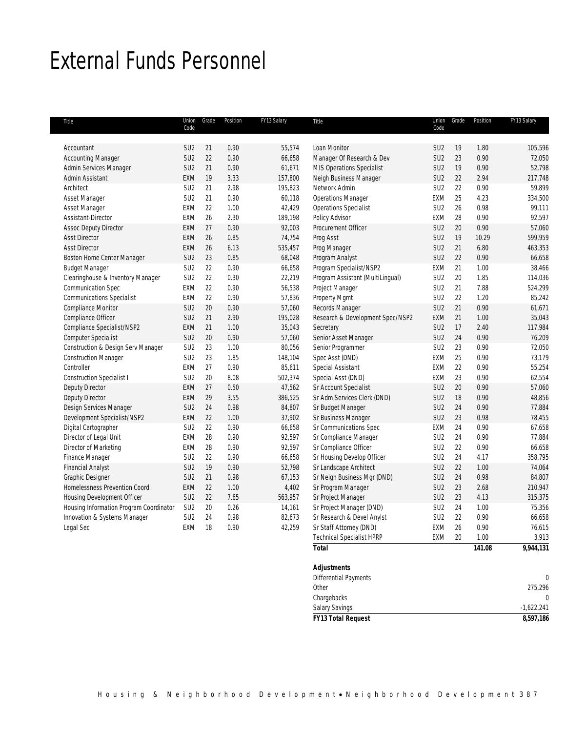# External Funds Personnel

| Title                                   | Union<br>Code   | Grade | Position | FY13 Salary | Title                            | Union<br>Code   | Grade | Position | FY13 Salary |
|-----------------------------------------|-----------------|-------|----------|-------------|----------------------------------|-----------------|-------|----------|-------------|
|                                         |                 |       |          |             |                                  |                 |       |          |             |
| Accountant                              | SU <sub>2</sub> | 21    | 0.90     | 55,574      | Loan Monitor                     | SU <sub>2</sub> | 19    | 1.80     | 105,596     |
| <b>Accounting Manager</b>               | SU <sub>2</sub> | 22    | 0.90     | 66,658      | Manager Of Research & Dev        | SU <sub>2</sub> | 23    | 0.90     | 72,050      |
| Admin Services Manager                  | SU <sub>2</sub> | 21    | 0.90     | 61,671      | MIS Operations Specialist        | SU <sub>2</sub> | 19    | 0.90     | 52,798      |
| Admin Assistant                         | EXM             | 19    | 3.33     | 157,800     | Neigh Business Manager           | SU <sub>2</sub> | 22    | 2.94     | 217,748     |
| Architect                               | SU <sub>2</sub> | 21    | 2.98     | 195,823     | Network Admin                    | SU <sub>2</sub> | 22    | 0.90     | 59,899      |
| Asset Manager                           | SU <sub>2</sub> | 21    | 0.90     | 60,118      | <b>Operations Manager</b>        | EXM             | 25    | 4.23     | 334,500     |
| Asset Manager                           | EXM             | 22    | 1.00     | 42,429      | <b>Operations Specialist</b>     | SU <sub>2</sub> | 26    | 0.98     | 99,111      |
| Assistant-Director                      | EXM             | 26    | 2.30     | 189,198     | Policy Advisor                   | EXM             | 28    | 0.90     | 92,597      |
| <b>Assoc Deputy Director</b>            | <b>EXM</b>      | 27    | 0.90     | 92,003      | Procurement Officer              | SU <sub>2</sub> | 20    | 0.90     | 57,060      |
| <b>Asst Director</b>                    | <b>EXM</b>      | 26    | 0.85     | 74,754      | Prog Asst                        | SU <sub>2</sub> | 19    | 10.29    | 599,959     |
| <b>Asst Director</b>                    | <b>EXM</b>      | 26    | 6.13     | 535,457     | Prog Manager                     | SU <sub>2</sub> | 21    | 6.80     | 463,353     |
| <b>Boston Home Center Manager</b>       | SU <sub>2</sub> | 23    | 0.85     | 68,048      | Program Analyst                  | SU <sub>2</sub> | 22    | 0.90     | 66,658      |
| <b>Budget Manager</b>                   | SU <sub>2</sub> | 22    | 0.90     | 66,658      | Program Specialist/NSP2          | EXM             | 21    | 1.00     | 38,466      |
| Clearinghouse & Inventory Manager       | SU <sub>2</sub> | 22    | 0.30     | 22,219      | Program Assistant (MultiLingual) | SU <sub>2</sub> | 20    | 1.85     | 114,036     |
| Communication Spec                      | EXM             | 22    | 0.90     | 56,538      | Project Manager                  | SU <sub>2</sub> | 21    | 7.88     | 524,299     |
| <b>Communications Specialist</b>        | <b>EXM</b>      | 22    | 0.90     | 57,836      | Property Mgmt                    | SU <sub>2</sub> | 22    | 1.20     | 85,242      |
| Compliance Monitor                      | SU <sub>2</sub> | 20    | 0.90     | 57,060      | Records Manager                  | SU <sub>2</sub> | 21    | 0.90     | 61,671      |
| Compliance Officer                      | SU <sub>2</sub> | 21    | 2.90     | 195,028     | Research & Development Spec/NSP2 | <b>EXM</b>      | 21    | 1.00     | 35,043      |
| Compliance Specialist/NSP2              | <b>EXM</b>      | 21    | 1.00     | 35,043      | Secretary                        | SU <sub>2</sub> | 17    | 2.40     | 117,984     |
| <b>Computer Specialist</b>              | SU <sub>2</sub> | 20    | 0.90     | 57,060      | Senior Asset Manager             | SU <sub>2</sub> | 24    | 0.90     | 76,209      |
| Construction & Design Serv Manager      | SU <sub>2</sub> | 23    | 1.00     | 80,056      | Senior Programmer                | SU <sub>2</sub> | 23    | 0.90     | 72,050      |
| <b>Construction Manager</b>             | SU <sub>2</sub> | 23    | 1.85     | 148,104     | Spec Asst (DND)                  | EXM             | 25    | 0.90     | 73,179      |
| Controller                              | <b>EXM</b>      | 27    | 0.90     | 85,611      | Special Assistant                | <b>EXM</b>      | 22    | 0.90     | 55,254      |
| <b>Construction Specialist I</b>        | SU <sub>2</sub> | 20    | 8.08     | 502,374     | Special Asst (DND)               | EXM             | 23    | 0.90     | 62,554      |
| Deputy Director                         | EXM             | 27    | 0.50     | 47,562      | Sr Account Specialist            | SU <sub>2</sub> | 20    | 0.90     | 57,060      |
| Deputy Director                         | <b>EXM</b>      | 29    | 3.55     | 386,525     | Sr Adm Services Clerk (DND)      | SU <sub>2</sub> | 18    | 0.90     | 48,856      |
| Design Services Manager                 | SU <sub>2</sub> | 24    | 0.98     | 84,807      | Sr Budget Manager                | SU <sub>2</sub> | 24    | 0.90     | 77,884      |
| Development Specialist/NSP2             | <b>EXM</b>      | 22    | 1.00     | 37,902      | Sr Business Manager              | SU <sub>2</sub> | 23    | 0.98     | 78,455      |
| Digital Cartographer                    | SU <sub>2</sub> | 22    | 0.90     | 66.658      | Sr Communications Spec           | <b>EXM</b>      | 24    | 0.90     | 67,658      |
| Director of Legal Unit                  | <b>EXM</b>      | 28    | 0.90     | 92,597      | Sr Compliance Manager            | SU <sub>2</sub> | 24    | 0.90     | 77,884      |
| Director of Marketing                   | EXM             | 28    | 0.90     | 92,597      | Sr Compliance Officer            | SU <sub>2</sub> | 22    | 0.90     | 66,658      |
| Finance Manager                         | SU <sub>2</sub> | 22    | 0.90     | 66,658      | Sr Housing Develop Officer       | SU <sub>2</sub> | 24    | 4.17     | 358,795     |
| <b>Financial Analyst</b>                | SU <sub>2</sub> | 19    | 0.90     | 52,798      | Sr Landscape Architect           | SU <sub>2</sub> | 22    | 1.00     | 74,064      |
| Graphic Designer                        | SU <sub>2</sub> | 21    | 0.98     | 67,153      | Sr Neigh Business Mgr (DND)      | SU <sub>2</sub> | 24    | 0.98     | 84,807      |
| Homelessness Prevention Coord           | EXM             | 22    | 1.00     | 4,402       | Sr Program Manager               | SU <sub>2</sub> | 23    | 2.68     | 210,947     |
| Housing Development Officer             | SU <sub>2</sub> | 22    | 7.65     | 563,957     | Sr Project Manager               | SU <sub>2</sub> | 23    | 4.13     | 315,375     |
| Housing Information Program Coordinator | SU <sub>2</sub> | 20    | 0.26     | 14,161      | Sr Project Manager (DND)         | SU <sub>2</sub> | 24    | 1.00     | 75,356      |
| Innovation & Systems Manager            | SU <sub>2</sub> | 24    | 0.98     | 82,673      | Sr Research & Devel Anylst       | SU <sub>2</sub> | 22    | 0.90     | 66,658      |
| Legal Sec                               | EXM             | 18    | 0.90     | 42,259      | Sr Staff Attorney (DND)          | EXM             | 26    | 0.90     | 76,615      |
|                                         |                 |       |          |             | <b>Technical Specialist HPRP</b> | EXM             | 20    | 1.00     | 3,913       |
|                                         |                 |       |          |             | <b>Total</b>                     |                 |       | 141.08   | 9,944,131   |

| Chargebacks<br><b>Salary Savings</b><br>$-1,622,241$ |
|------------------------------------------------------|
| $\mathbf 0$                                          |
|                                                      |
| 275,296                                              |
| <b>Differential Payments</b><br>0                    |
| Adjustments                                          |
|                                                      |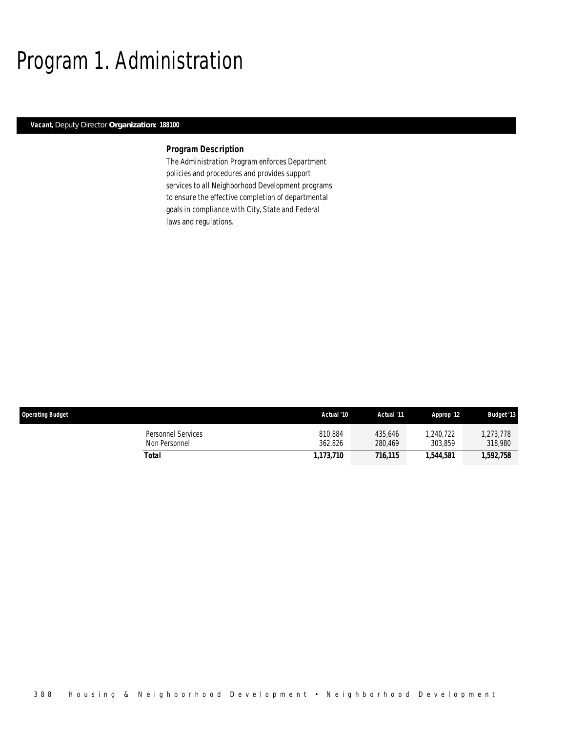# Program 1. Administration

## *Vacant, Deputy Director Organization: 188100*

## *Program Description*

The Administration Program enforces Department policies and procedures and provides support services to all Neighborhood Development programs to ensure the effective completion of departmental goals in compliance with City, State and Federal laws and regulations.

| <b>Operating Budget</b>             | Actual '10         | Actual '11         | Approp '12          | <b>Budget '13</b>   |
|-------------------------------------|--------------------|--------------------|---------------------|---------------------|
| Personnel Services<br>Non Personnel | 810,884<br>362.826 | 435.646<br>280.469 | .240.722<br>303.859 | ,273,778<br>318,980 |
| Total                               | 1.173.710          | 716,115            | 1,544,581           | 1,592,758           |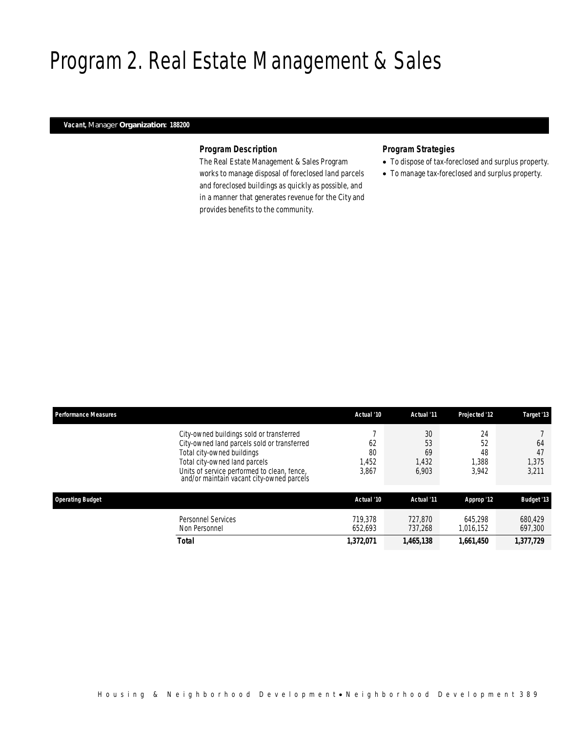# Program 2. Real Estate Management & Sales

## *Vacant, Manager Organization: 188200*

## *Program Description*

The Real Estate Management & Sales Program works to manage disposal of foreclosed land parcels and foreclosed buildings as quickly as possible, and in a manner that generates revenue for the City and provides benefits to the community.

## *Program Strategies*

- To dispose of tax-foreclosed and surplus property.
- To manage tax-foreclosed and surplus property.

| <b>Performance Measures</b> |                                                                                                                                                                                                                                                    | Actual '10                 | Actual '11                       | Projected '12                    | Target '13                 |
|-----------------------------|----------------------------------------------------------------------------------------------------------------------------------------------------------------------------------------------------------------------------------------------------|----------------------------|----------------------------------|----------------------------------|----------------------------|
|                             | City-owned buildings sold or transferred<br>City-owned land parcels sold or transferred<br>Total city-owned buildings<br>Total city-owned land parcels<br>Units of service performed to clean, fence,<br>and/or maintain vacant city-owned parcels | 62<br>80<br>1,452<br>3,867 | 30<br>53<br>69<br>1,432<br>6,903 | 24<br>52<br>48<br>1.388<br>3.942 | 64<br>47<br>1,375<br>3,211 |
| <b>Operating Budget</b>     |                                                                                                                                                                                                                                                    | Actual '10                 | Actual '11                       | Approp '12                       | <b>Budget '13</b>          |
|                             | <b>Personnel Services</b><br>Non Personnel                                                                                                                                                                                                         | 719.378<br>652.693         | 727.870<br>737.268               | 645.298<br>1.016.152             | 680.429<br>697,300         |
|                             | <b>Total</b>                                                                                                                                                                                                                                       | 1,372,071                  | 1,465,138                        | 1,661,450                        | 1,377,729                  |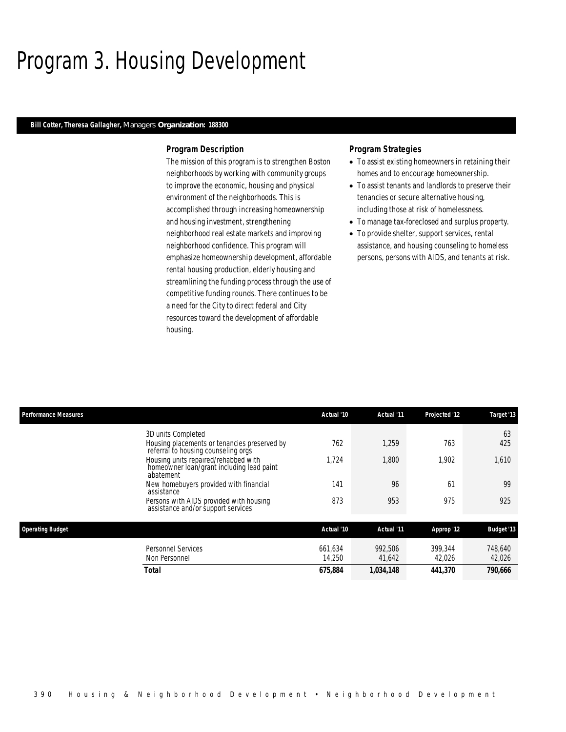# Program 3. Housing Development

## *Bill Cotter, Theresa Gallagher, Managers Organization: 188300*

### *Program Description*

The mission of this program is to strengthen Boston neighborhoods by working with community groups to improve the economic, housing and physical environment of the neighborhoods. This is accomplished through increasing homeownership and housing investment, strengthening neighborhood real estate markets and improving neighborhood confidence. This program will emphasize homeownership development, affordable rental housing production, elderly housing and streamlining the funding process through the use of competitive funding rounds. There continues to be a need for the City to direct federal and City resources toward the development of affordable housing.

## *Program Strategies*

- To assist existing homeowners in retaining their homes and to encourage homeownership.
- To assist tenants and landlords to preserve their tenancies or secure alternative housing, including those at risk of homelessness.
- To manage tax-foreclosed and surplus property.
- To provide shelter, support services, rental assistance, and housing counseling to homeless persons, persons with AIDS, and tenants at risk.

| <b>Performance Measures</b> |                                                                                                | Actual '10 | Actual '11 | <b>Projected '12</b> | Target '13        |
|-----------------------------|------------------------------------------------------------------------------------------------|------------|------------|----------------------|-------------------|
|                             | 3D units Completed                                                                             |            |            |                      | 63                |
|                             | Housing placements or tenancies preserved by<br>referral to housing counseling orgs            | 762        | 1,259      | 763                  | 425               |
|                             | Housing units repaired/rehabbed with<br>homeowner loan/grant including lead paint<br>abatement | 1.724      | 1,800      | 1.902                | 1,610             |
|                             | New homebuyers provided with financial<br>assistance                                           | 141        | 96         | 61                   | 99                |
|                             | Persons with AIDS provided with housing<br>assistance and/or support services                  | 873        | 953        | 975                  | 925               |
| <b>Operating Budget</b>     |                                                                                                | Actual '10 | Actual '11 | Approp '12           | <b>Budget '13</b> |
|                             | <b>Personnel Services</b>                                                                      | 661.634    | 992.506    | 399.344              | 748,640           |
|                             | Non Personnel                                                                                  | 14,250     | 41,642     | 42,026               | 42,026            |
|                             | Total                                                                                          | 675.884    | 1.034.148  | 441.370              | 790.666           |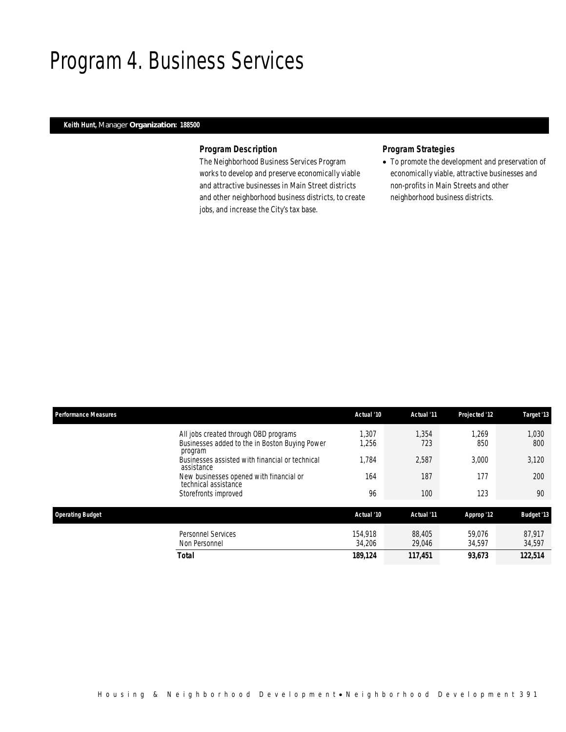# Program 4. Business Services

## *Keith Hunt, Manager Organization: 188500*

## *Program Description*

The Neighborhood Business Services Program works to develop and preserve economically viable and attractive businesses in Main Street districts and other neighborhood business districts, to create jobs, and increase the City's tax base.

# *Program Strategies*

• To promote the development and preservation of economically viable, attractive businesses and non-profits in Main Streets and other neighborhood business districts.

| <b>Performance Measures</b> |                                                                                                    | Actual '10        | Actual '11       | Projected '12    | Target '13        |
|-----------------------------|----------------------------------------------------------------------------------------------------|-------------------|------------------|------------------|-------------------|
|                             | All jobs created through OBD programs<br>Businesses added to the in Boston Buying Power<br>program | ,307<br>1,256     | 1,354<br>723     | 1,269<br>850     | 1,030<br>800      |
|                             | Businesses assisted with financial or technical<br>assistance                                      | 1.784             | 2,587            | 3.000            | 3,120             |
|                             | New businesses opened with financial or<br>technical assistance                                    | 164               | 187              | 177              | 200               |
|                             | Storefronts improved                                                                               | 96                | 100              | 123              | 90                |
| <b>Operating Budget</b>     |                                                                                                    | Actual '10        | Actual '11       | Approp '12       | <b>Budget '13</b> |
|                             | <b>Personnel Services</b><br>Non Personnel                                                         | 154.918<br>34,206 | 88,405<br>29,046 | 59.076<br>34,597 | 87.917<br>34,597  |
|                             | Total                                                                                              | 189,124           | 117,451          | 93.673           | 122,514           |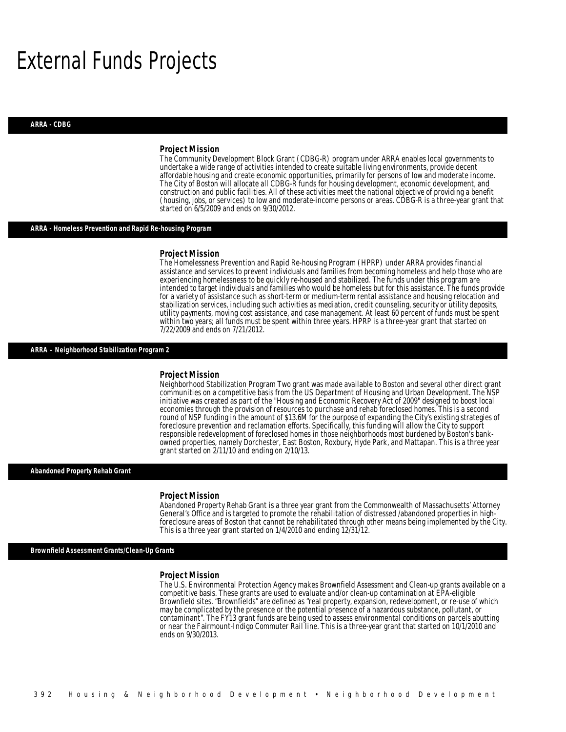# External Funds Projects

#### *ARRA - CDBG*

#### *Project Mission*

The Community Development Block Grant (CDBG-R) program under ARRA enables local governments to undertake a wide range of activities intended to create suitable living environments, provide decent affordable housing and create economic opportunities, primarily for persons of low and moderate income. The City of Boston will allocate all CDBG-R funds for housing development, economic development, and construction and public facilities. All of these activities meet the national objective of providing a benefit (housing, jobs, or services) to low and moderate-income persons or areas. CDBG-R is a three-year grant that started on 6/5/2009 and ends on 9/30/2012.

### *ARRA - Homeless Prevention and Rapid Re-housing Program*

#### *Project Mission*

The Homelessness Prevention and Rapid Re-housing Program (HPRP) under ARRA provides financial assistance and services to prevent individuals and families from becoming homeless and help those who are experiencing homelessness to be quickly re-housed and stabilized. The funds under this program are intended to target individuals and families who would be homeless but for this assistance. The funds provide for a variety of assistance such as short-term or medium-term rental assistance and housing relocation and stabilization services, including such activities as mediation, credit counseling, security or utility deposits, utility payments, moving cost assistance, and case management. At least 60 percent of funds must be spent within two years; all funds must be spent within three years. HPRP is a three-year grant that started on 7/22/2009 and ends on 7/21/2012.

## *ARRA – Neighborhood Stabilization Program 2*

### *Project Mission*

Neighborhood Stabilization Program Two grant was made available to Boston and several other direct grant communities on a competitive basis from the US Department of Housing and Urban Development. The NSP initiative was created as part of the "Housing and Economic Recovery Act of 2009" designed to boost local economies through the provision of resources to purchase and rehab foreclosed homes. This is a second round of NSP funding in the amount of \$13.6M for the purpose of expanding the City's existing strategies of foreclosure prevention and reclamation efforts. Specifically, this funding will allow the City to support responsible redevelopment of foreclosed homes in those neighborhoods most burdened by Boston's bankowned properties, namely Dorchester, East Boston, Roxbury, Hyde Park, and Mattapan. This is a three year grant started on 2/11/10 and ending on 2/10/13.

#### *Abandoned Property Rehab Grant*

#### *Project Mission*

Ì

Abandoned Property Rehab Grant is a three year grant from the Commonwealth of Massachusetts' Attorney General's Office and is targeted to promote the rehabilitation of distressed /abandoned properties in highforeclosure areas of Boston that cannot be rehabilitated through other means being implemented by the City. This is a three year grant started on 1/4/2010 and ending 12/31/12.

*Brownfield Assessment Grants/Clean-Up Grants* 

#### *Project Mission*

The U.S. Environmental Protection Agency makes Brownfield Assessment and Clean-up grants available on a competitive basis. These grants are used to evaluate and/or clean-up contamination at EPA-eligible Brownfield sites. "Brownfields" are defined as "real property, expansion, redevelopment, or re-use of which may be complicated by the presence or the potential presence of a hazardous substance, pollutant, or contaminant". The FY13 grant funds are being used to assess environmental conditions on parcels abutting or near the Fairmount-Indigo Commuter Rail line. This is a three-year grant that started on 10/1/2010 and ends on 9/30/2013.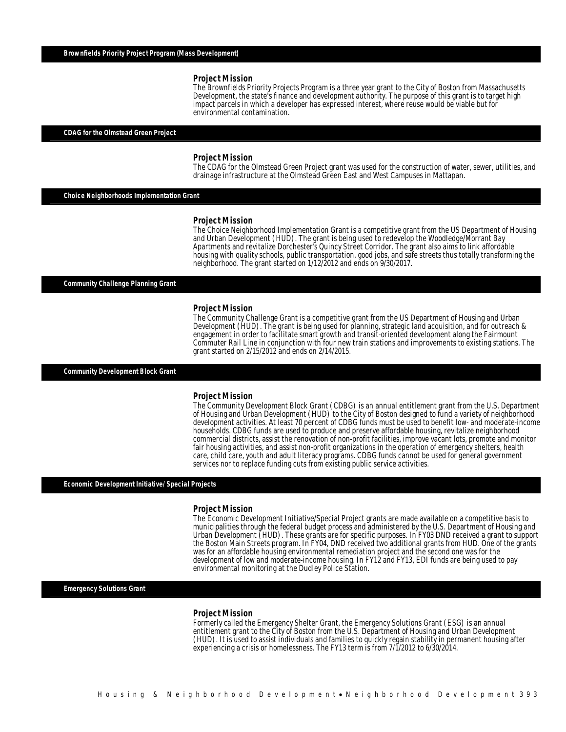The Brownfields Priority Projects Program is a three year grant to the City of Boston from Massachusetts Development, the state's finance and development authority. The purpose of this grant is to target high impact parcels in which a developer has expressed interest, where reuse would be viable but for environmental contamination.

## *CDAG for the Olmstead Green Project*

#### *Project Mission*

Ì

The CDAG for the Olmstead Green Project grant was used for the construction of water, sewer, utilities, and drainage infrastructure at the Olmstead Green East and West Campuses in Mattapan.

*Choice Neighborhoods Implementation Grant* 

#### *Project Mission*

The Choice Neighborhood Implementation Grant is a competitive grant from the US Department of Housing and Urban Development (HUD). The grant is being used to redevelop the Woodledge/Morrant Bay Apartments and revitalize Dorchester's Quincy Street Corridor. The grant also aims to link affordable housing with quality schools, public transportation, good jobs, and safe streets thus totally transforming the neighborhood. The grant started on 1/12/2012 and ends on 9/30/2017.

*Community Challenge Planning Grant* 

#### *Project Mission*

The Community Challenge Grant is a competitive grant from the US Department of Housing and Urban Development (HUD). The grant is being used for planning, strategic land acquisition, and for outreach & engagement in order to facilitate smart growth and transit-oriented development along the Fairmount Commuter Rail Line in conjunction with four new train stations and improvements to existing stations. The grant started on 2/15/2012 and ends on 2/14/2015.

*Community Development Block Grant* 

#### *Project Mission*

The Community Development Block Grant (CDBG) is an annual entitlement grant from the U.S. Department of Housing and Urban Development (HUD) to the City of Boston designed to fund a variety of neighborhood development activities. At least 70 percent of CDBG funds must be used to benefit low- and moderate-income households. CDBG funds are used to produce and preserve affordable housing, revitalize neighborhood commercial districts, assist the renovation of non-profit facilities, improve vacant lots, promote and monitor fair housing activities, and assist non-profit organizations in the operation of emergency shelters, health care, child care, youth and adult literacy programs. CDBG funds cannot be used for general government services nor to replace funding cuts from existing public service activities.

*Economic Development Initiative/ Special Projects* 

#### *Project Mission*

The Economic Development Initiative/Special Project grants are made available on a competitive basis to municipalities through the federal budget process and administered by the U.S. Department of Housing and Urban Development (HUD). These grants are for specific purposes. In FY03 DND received a grant to support the Boston Main Streets program. In FY04, DND received two additional grants from HUD. One of the grants was for an affordable housing environmental remediation project and the second one was for the development of low and moderate-income housing. In FY12 and FY13, EDI funds are being used to pay environmental monitoring at the Dudley Police Station.

### *Emergency Solutions Grant*

#### *Project Mission*

Formerly called the Emergency Shelter Grant, the Emergency Solutions Grant (ESG) is an annual entitlement grant to the City of Boston from the U.S. Department of Housing and Urban Development (HUD). It is used to assist individuals and families to quickly regain stability in permanent housing after experiencing a crisis or homelessness. The FY13 term is from 7/1/2012 to 6/30/2014.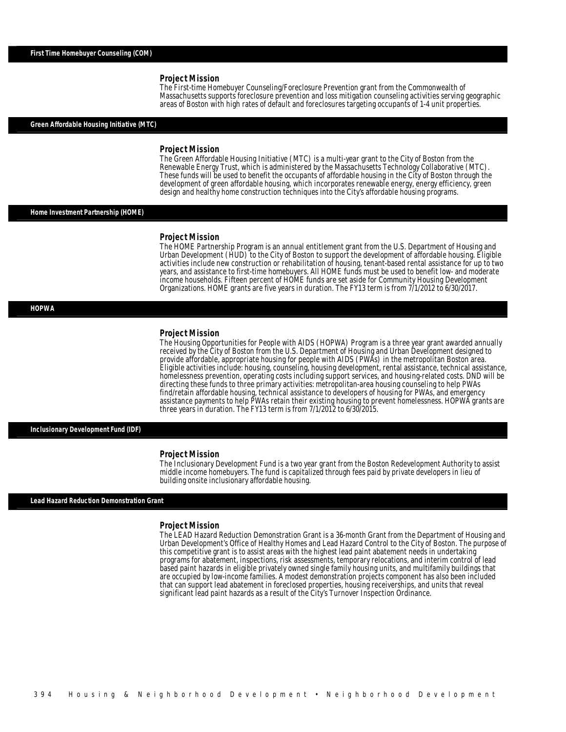The First-time Homebuyer Counseling/Foreclosure Prevention grant from the Commonwealth of Massachusetts supports foreclosure prevention and loss mitigation counseling activities serving geographic areas of Boston with high rates of default and foreclosures targeting occupants of 1-4 unit properties.

#### *Green Affordable Housing Initiative (MTC)*

#### *Project Mission*

The Green Affordable Housing Initiative (MTC) is a multi-year grant to the City of Boston from the Renewable Energy Trust, which is administered by the Massachusetts Technology Collaborative (MTC). These funds will be used to benefit the occupants of affordable housing in the City of Boston through the development of green affordable housing, which incorporates renewable energy, energy efficiency, green design and healthy home construction techniques into the City's affordable housing programs.

### *Home Investment Partnership (HOME)*

### *Project Mission*

The HOME Partnership Program is an annual entitlement grant from the U.S. Department of Housing and Urban Development (HUD) to the City of Boston to support the development of affordable housing. Eligible activities include new construction or rehabilitation of housing, tenant-based rental assistance for up to two years, and assistance to first-time homebuyers. All HOME funds must be used to benefit low- and moderate income households. Fifteen percent of HOME funds are set aside for Community Housing Development Organizations. HOME grants are five years in duration. The FY13 term is from 7/1/2012 to 6/30/2017.

### *HOPWA*

#### *Project Mission*

The Housing Opportunities for People with AIDS (HOPWA) Program is a three year grant awarded annually received by the City of Boston from the U.S. Department of Housing and Urban Development designed to provide affordable, appropriate housing for people with AIDS (PWAs) in the metropolitan Boston area. Eligible activities include: housing, counseling, housing development, rental assistance, technical assistance, homelessness prevention, operating costs including support services, and housing-related costs. DND will be directing these funds to three primary activities: metropolitan-area housing counseling to help PWAs find/retain affordable housing, technical assistance to developers of housing for PWAs, and emergency assistance payments to help PWAs retain their existing housing to prevent homelessness. HOPWA grants are three years in duration. The FY13 term is from 7/1/2012 to 6/30/2015.

#### *Inclusionary Development Fund (IDF)*

#### *Project Mission*

The Inclusionary Development Fund is a two year grant from the Boston Redevelopment Authority to assist middle income homebuyers. The fund is capitalized through fees paid by private developers in lieu of building onsite inclusionary affordable housing.

#### *Lead Hazard Reduction Demonstration Grant*

#### *Project Mission*

The LEAD Hazard Reduction Demonstration Grant is a 36-month Grant from the Department of Housing and Urban Development's Office of Healthy Homes and Lead Hazard Control to the City of Boston. The purpose of this competitive grant is to assist areas with the highest lead paint abatement needs in undertaking programs for abatement, inspections, risk assessments, temporary relocations, and interim control of lead based paint hazards in eligible privately owned single family housing units, and multifamily buildings that are occupied by low-income families. A modest demonstration projects component has also been included that can support lead abatement in foreclosed properties, housing receiverships, and units that reveal significant lead paint hazards as a result of the City's Turnover Inspection Ordinance.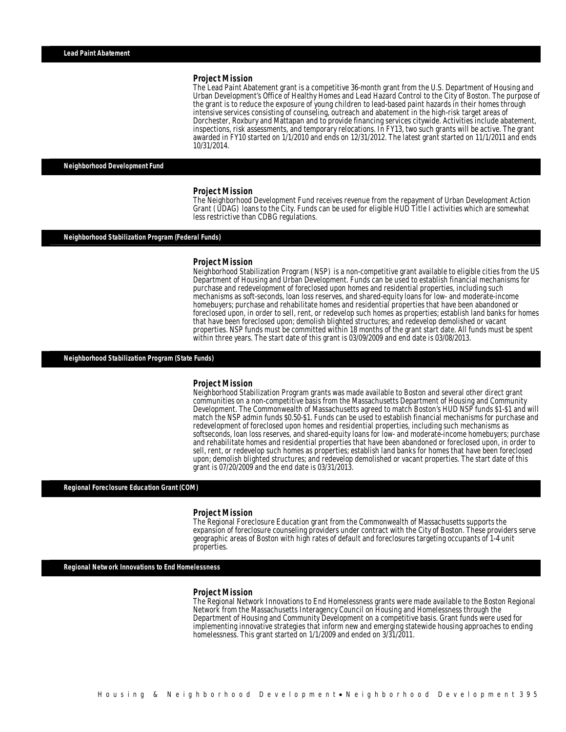The Lead Paint Abatement grant is a competitive 36-month grant from the U.S. Department of Housing and Urban Development's Office of Healthy Homes and Lead Hazard Control to the City of Boston. The purpose of the grant is to reduce the exposure of young children to lead-based paint hazards in their homes through intensive services consisting of counseling, outreach and abatement in the high-risk target areas of Dorchester, Roxbury and Mattapan and to provide financing services citywide. Activities include abatement, inspections, risk assessments, and temporary relocations. In FY13, two such grants will be active. The grant awarded in FY10 started on 1/1/2010 and ends on 12/31/2012. The latest grant started on 11/1/2011 and ends 10/31/2014.

#### *Neighborhood Development Fund*

#### *Project Mission*

The Neighborhood Development Fund receives revenue from the repayment of Urban Development Action Grant (UDAG) loans to the City. Funds can be used for eligible HUD Title I activities which are somewhat less restrictive than CDBG regulations.

#### *Neighborhood Stabilization Program (Federal Funds)*

#### *Project Mission*

Neighborhood Stabilization Program (NSP) is a non-competitive grant available to eligible cities from the US Department of Housing and Urban Development. Funds can be used to establish financial mechanisms for purchase and redevelopment of foreclosed upon homes and residential properties, including such mechanisms as soft-seconds, loan loss reserves, and shared-equity loans for low- and moderate-income homebuyers; purchase and rehabilitate homes and residential properties that have been abandoned or foreclosed upon, in order to sell, rent, or redevelop such homes as properties; establish land banks for homes that have been foreclosed upon; demolish blighted structures; and redevelop demolished or vacant properties. NSP funds must be committed within 18 months of the grant start date. All funds must be spent within three years. The start date of this grant is 03/09/2009 and end date is 03/08/2013.

#### *Neighborhood Stabilization Program (State Funds)*

#### *Project Mission*

Neighborhood Stabilization Program grants was made available to Boston and several other direct grant communities on a non-competitive basis from the Massachusetts Department of Housing and Community Development. The Commonwealth of Massachusetts agreed to match Boston's HUD NSP funds \$1-\$1 and will match the NSP admin funds \$0.50-\$1. Funds can be used to establish financial mechanisms for purchase and redevelopment of foreclosed upon homes and residential properties, including such mechanisms as softseconds, loan loss reserves, and shared-equity loans for low- and moderate-income homebuyers; purchase and rehabilitate homes and residential properties that have been abandoned or foreclosed upon, in order to sell, rent, or redevelop such homes as properties; establish land banks for homes that have been foreclosed upon; demolish blighted structures; and redevelop demolished or vacant properties. The start date of this grant is 07/20/2009 and the end date is 03/31/2013. Ì

## *Regional Foreclosure Education Grant (COM)*

#### *Project Mission*

The Regional Foreclosure Education grant from the Commonwealth of Massachusetts supports the expansion of foreclosure counseling providers under contract with the City of Boston. These providers serve geographic areas of Boston with high rates of default and foreclosures targeting occupants of 1-4 unit properties.

#### *Regional Network Innovations to End Homelessness*

#### *Project Mission*

Î

The Regional Network Innovations to End Homelessness grants were made available to the Boston Regional Network from the Massachusetts Interagency Council on Housing and Homelessness through the Department of Housing and Community Development on a competitive basis. Grant funds were used for implementing innovative strategies that inform new and emerging statewide housing approaches to ending homelessness. This grant started on 1/1/2009 and ended on 3/31/2011.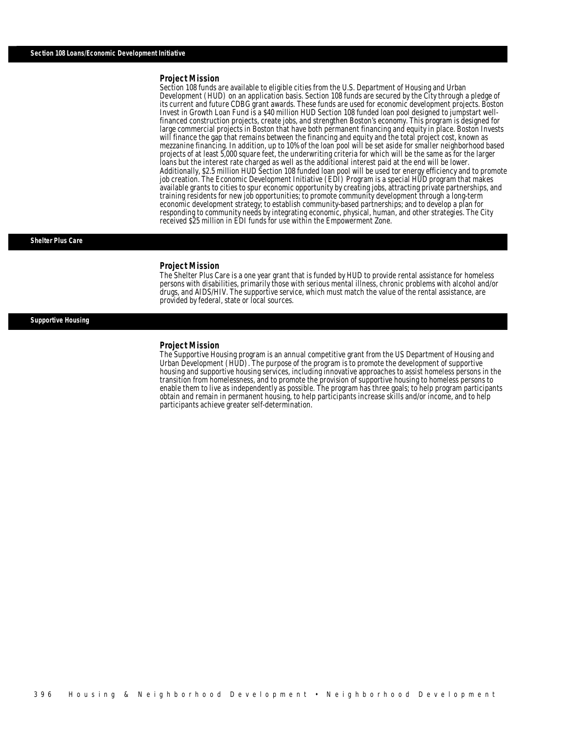Section 108 funds are available to eligible cities from the U.S. Department of Housing and Urban Development (HUD) on an application basis. Section 108 funds are secured by the City through a pledge of its current and future CDBG grant awards. These funds are used for economic development projects. Boston Invest in Growth Loan Fund is a \$40 million HUD Section 108 funded loan pool designed to jumpstart wellfinanced construction projects, create jobs, and strengthen Boston's economy. This program is designed for large commercial projects in Boston that have both permanent financing and equity in place. Boston Invests will finance the gap that remains between the financing and equity and the total project cost, known as mezzanine financing. In addition, up to 10% of the loan pool will be set aside for smaller neighborhood based projects of at least 5,000 square feet, the underwriting criteria for which will be the same as for the larger loans but the interest rate charged as well as the additional interest paid at the end will be lower. Additionally, \$2.5 million HUD Section 108 funded loan pool will be used tor energy efficiency and to promote job creation. The Economic Development Initiative (EDI) Program is a special HUD program that makes available grants to cities to spur economic opportunity by creating jobs, attracting private partnerships, and training residents for new job opportunities; to promote community development through a long-term economic development strategy; to establish community-based partnerships; and to develop a plan for responding to community needs by integrating economic, physical, human, and other strategies. The City received \$25 million in EDI funds for use within the Empowerment Zone.

#### *Shelter Plus Care*

#### *Project Mission*

The Shelter Plus Care is a one year grant that is funded by HUD to provide rental assistance for homeless persons with disabilities, primarily those with serious mental illness, chronic problems with alcohol and/or drugs, and AIDS/HIV. The supportive service, which must match the value of the rental assistance, are provided by federal, state or local sources.

### *Supportive Housing*

### *Project Mission*

Î

Î

The Supportive Housing program is an annual competitive grant from the US Department of Housing and Urban Development (HUD). The purpose of the program is to promote the development of supportive housing and supportive housing services, including innovative approaches to assist homeless persons in the transition from homelessness, and to promote the provision of supportive housing to homeless persons to enable them to live as independently as possible. The program has three goals; to help program participants obtain and remain in permanent housing, to help participants increase skills and/or income, and to help participants achieve greater self-determination.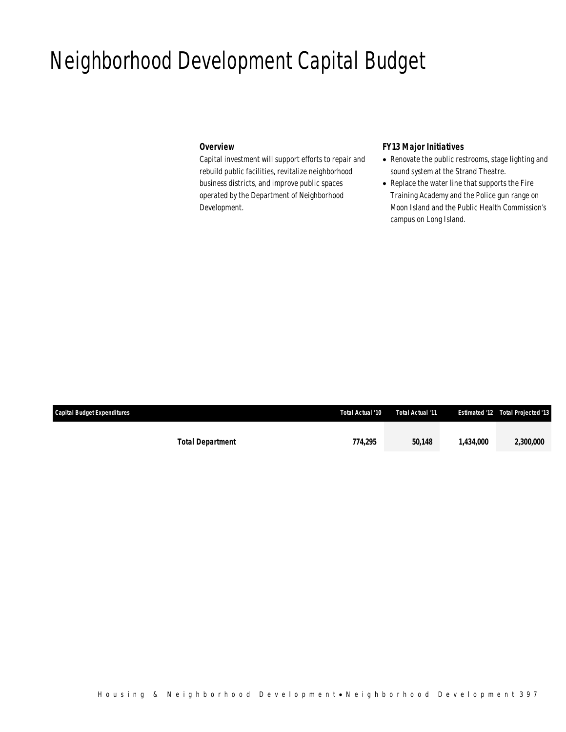# Neighborhood Development Capital Budget

## *Overview*

Capital investment will support efforts to repair and rebuild public facilities, revitalize neighborhood business districts, and improve public spaces operated by the Department of Neighborhood Development.

# *FY13 Major Initiatives*

- Renovate the public restrooms, stage lighting and sound system at the Strand Theatre.
- Replace the water line that supports the Fire Training Academy and the Police gun range on Moon Island and the Public Health Commission's campus on Long Island.

| <b>Capital Budget Expenditures</b> | Total Actual '10 | Total Actual '11 |           | <b>Estimated '12 Total Projected '13</b> |
|------------------------------------|------------------|------------------|-----------|------------------------------------------|
|                                    |                  |                  |           |                                          |
| <b>Total Department</b>            | 774,295          | 50.148           | 1.434.000 | 2,300,000                                |